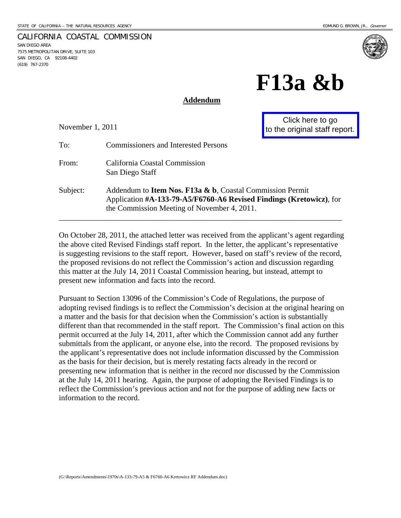

## CALIFORNIA COASTAL COMMISSION

SAN DIEGO AREA 7575 METROPOLITAN DRIVE, SUITE 103 SAN DIEGO, CA 92108-4402 (619) 767-2370

## **F13a &b**

**Addendum**

November 1, 2011

Click here to go [to the original staff report.](#page-24-0)

| To:      | <b>Commissioners and Interested Persons</b>                                                                                                                                                 |
|----------|---------------------------------------------------------------------------------------------------------------------------------------------------------------------------------------------|
| From:    | California Coastal Commission<br>San Diego Staff                                                                                                                                            |
| Subject: | Addendum to <b>Item Nos. F13a &amp; b</b> , Coastal Commission Permit<br>Application #A-133-79-A5/F6760-A6 Revised Findings (Kretowicz), for<br>the Commission Meeting of November 4, 2011. |

On October 28, 2011, the attached letter was received from the applicant's agent regarding the above cited Revised Findings staff report. In the letter, the applicant's representative is suggesting revisions to the staff report. However, based on staff's review of the record, the proposed revisions do not reflect the Commission's action and discussion regarding this matter at the July 14, 2011 Coastal Commission hearing, but instead, attempt to present new information and facts into the record.

\_\_\_\_\_\_\_\_\_\_\_\_\_\_\_\_\_\_\_\_\_\_\_\_\_\_\_\_\_\_\_\_\_\_\_\_\_\_\_\_\_\_\_\_\_\_\_\_\_\_\_\_\_\_\_\_\_\_\_\_\_\_\_\_\_\_\_\_\_\_\_\_

Pursuant to Section 13096 of the Commission's Code of Regulations, the purpose of adopting revised findings is to reflect the Commission's decision at the original hearing on a matter and the basis for that decision when the Commission's action is substantially different than that recommended in the staff report. The Commission's final action on this permit occurred at the July 14, 2011, after which the Commission cannot add any further submittals from the applicant, or anyone else, into the record. The proposed revisions by the applicant's representative does not include information discussed by the Commission as the basis for their decision, but is merely restating facts already in the record or presenting new information that is neither in the record nor discussed by the Commission at the July 14, 2011 hearing. Again, the purpose of adopting the Revised Findings is to reflect the Commission's previous action and not for the purpose of adding new facts or information to the record.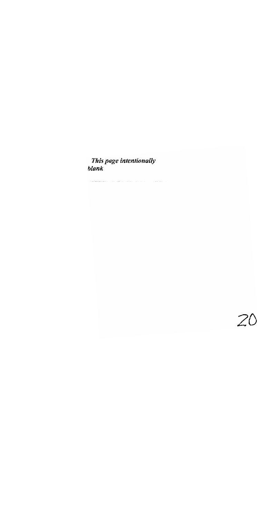# This page intentionally<br>blank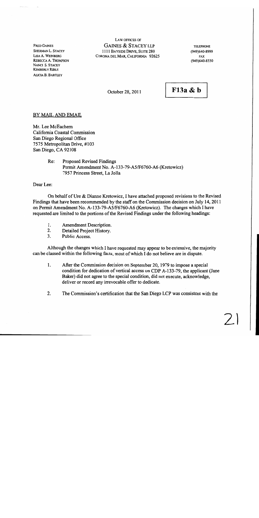**FRED GAINES** SHERMAN L. STACEY **LISA A. WEINBERG** REBECCA A. THOMPSON NANCI S. STACEY **KIMBERLY RIBLE ALICIA B. BARTLEY** 

**LAW OFFICES OF GAINES & STACEY LLP** 1111 BAYSIDE DRIVE, SUITE 280 CORONA DEL MAR, CALIFORNIA 92625

**TELEPHONE** (949)640-8999 **FAX** (949)640-8330

 $F13a & b$ 

October 28, 2011

BY MAIL AND EMAIL

Mr. Lee McEachern California Coastal Commission San Diego Regional Office 7575 Metropolitan Drive, #103 San Diego, CA 92108

> Re: **Proposed Revised Findings** Permit Amendment No. A-133-79-A5/F6760-A6 (Kretowicz) 7957 Princess Street, La Jolla

Dear Lee:

On behalf of Ure & Dianne Kretowicz, I have attached proposed revisions to the Revised Findings that have been recommended by the staff on the Commission decision on July 14, 2011 on Permit Amendment No. A-133-79-A5/F6760-A6 (Kretowicz). The changes which I have requested are limited to the portions of the Revised Findings under the following headings:

- $\mathbf{1}$ . Amendment Description.
- $2.$ Detailed Project History.
- 3. Public Access.

Although the changes which I have requested may appear to be extensive, the majority can be classed within the following facts, most of which I do not believe are in dispute.

- 1. After the Commission decision on September 20, 1979 to impose a special condition for dedication of vertical access on CDP A-133-79, the applicant (Jane Baker) did not agree to the special condition, did not execute, acknowledge, deliver or record any irrevocable offer to dedicate.
- $2.$ The Commission's certification that the San Diego LCP was consistent with the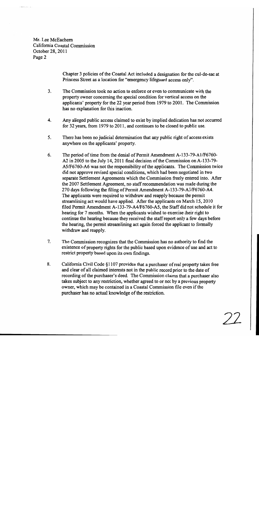Mr. Lee McEachern California Coastal Commission October 28, 2011 Page 2

> Chapter 3 policies of the Coastal Act included a designation for the cul-de-sac at Princess Street as a location for "emergency lifeguard access only".

- $3<sub>1</sub>$ The Commission took no action to enforce or even to communicate with the property owner concerning the special condition for vertical access on the applicants' property for the 22 year period from 1979 to 2001. The Commission has no explanation for this inaction.
- 4. Any alleged public access claimed to exist by implied dedication has not occurred for 32 years, from 1979 to 2011, and continues to be closed to public use.
- 5. There has been no judicial determination that any public right of access exists anywhere on the applicants' property.
- 6. The period of time from the denial of Permit Amendment A-133-79-A1/F6760-A2 in 2005 to the July 14, 2011 final decision of the Commission on A-133-79-A5/F6760-A6 was not the responsibility of the applicants. The Commission twice did not approve revised special conditions, which had been negotiated in two separate Settlement Agreements which the Commission freely entered into. After the 2007 Settlement Agreement, no staff recommendation was made during the 270 days following the filing of Permit Amendment A-133-79-A3/F6760-A4. The applicants were required to withdraw and reapply because the permit streamlining act would have applied. After the applicants on March 15, 2010 filed Permit Amendment A-133-79-A4/F6760-A5, the Staff did not schedule it for hearing for 7 months. When the applicants wished to exercise their right to continue the hearing because they received the staff report only a few days before the hearing, the permit streamlining act again forced the applicant to formally withdraw and reapply.
- 7. The Commission recognizes that the Commission has no authority to find the existence of property rights for the public based upon evidence of use and act to restrict property based upon its own findings.
- 8. California Civil Code §1107 provides that a purchaser of real property takes free and clear of all claimed interests not in the public record prior to the date of recording of the purchaser's deed. The Commission claims that a purchaser also takes subject to any restriction, whether agreed to or not by a previous property owner, which may be contained in a Coastal Commission file even if the purchaser has no actual knowledge of the restriction.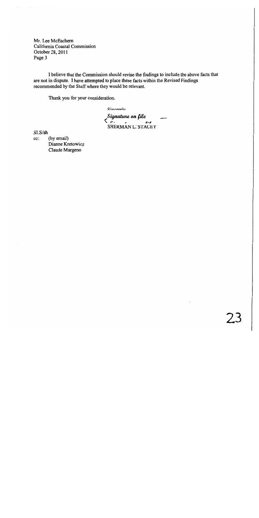Mr. Lee McEachern California Coastal Commission October 28, 2011 Page 3

I believe that the Commission should revise the findings to include the above facts that are not in dispute. I have attempted to place these facts within the Revised Findings recommended by the Staff where they would be relevant.

Thank you for your consideration.

Sincerely Signature on file<br>Corporation on the state of the SHERMAN L. STACEY

SLS/sh

cc:

(by email) Dianne Kretowicz Claude Margeno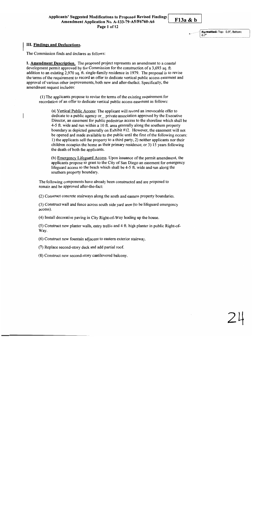F13a & b

Formatted: Top: 0.9", Bottom:

#### **III. Findings and Declarations.**

The Commission finds and declares as follows:

1. Amendment Description. The proposed project represents an amendment to a coastal development permit approved by the Commission for the construction of a 3,693 sq. ft. addition to an existing 2,970 sq. ft. single-family residence in 1979. The proposal is to revise the terms of the requirement to record an offer to dedicate vertical public access easement and approval of various other improvements, both new and after-thefact. Specifically, the amendment request includes:

(1) The applicants propose to revise the terms of the existing requirement for recordation of an offer to dedicate vertical public access easement as follows:

(a) Vertical Public Access: The applicant will record an irrevocable offer to dedicate to a public agency or private association approved by the Executive Director, an easement for public pedestrian access to the shoreline which shall be 4-5 ft. wide and run within a 10 ft. area generally along the southern property boundary as depicted generally on Exhibit #12. However, the easement will not be opened and made available to the public until the first of the following occurs: 1) the applicants sell the property to a third party; 2) neither applicants nor their children occupies the home as their primary residence; or 3) 15 years following the death of both the applicants.

(b) Emergency Lifeguard Access. Upon issuance of the permit amendment, the applicants propose to grant to the City of San Diego an easement for emergency lifeguard access to the beach which shall be 4-5 ft. wide and run along the southern property boundary.

The following components have already been constructed and are proposed to remain and be approved after-the-fact:

(2) Construct concrete stairways along the south and eastern property boundaries.

(3) Construct wall and fence across south side yard area (to be lifeguard emergency access).

(4) Install decorative paving in City Right-of-Way leading up the house.

(5) Construct new planter walls, entry trellis and 4 ft. high planter in public Right-of-Way.

(6) Construct new fountain adjacent to eastern exterior stairway.

(7) Replace second-story deck and add partial roof.

(8) Construct new second-story cantilevered balcony.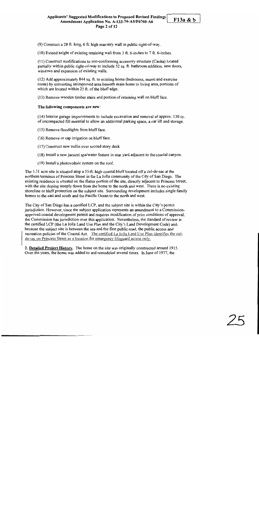$F13a \& b$ 

(9) Construct a 28 ft. long, 6 ft. high masonry wall in public right-of-way.

(10) Extend height of existing retaining wall from 3 ft. 6-inches to 7 ft. 6-inches.

(11) Construct modifications to non-conforming accessory structure (Casita) located partially within public right-of-way to include 52 sq. ft. bathroom addition, new doors, windows and expansion of existing walls.

(12) Add approximately 844 sq. ft. to existing home (bedrooms, music and exercise room) by converting unimproved area beneath main home to living area, portions of which are located within 25 ft. of the bluff edge.

(13) Remove wooden timber stairs and portion of retaining wall on bluff face.

#### The following components are new:

(14) Interior garage improvements to include excavation and removal of approx. 130 cy. of uncompacted fill material to allow an additional parking space, a car lift and storage.

(15) Remove floodlights from bluff face.

(16) Remove or cap irrigation on bluff face.

(17) Construct new trellis over second story deck

(18) Install a new jacuzzi spa/water feature in rear yard adjacent to the coastal canyon.

(19) Install a photovoltaic system on the roof.

The 1.31 acre site is situated atop a 55-ft. high coastal bluff located off a cul-de-sac at the northern terminus of Princess Street in the La Jolla community of the City of San Diego. The existing residence is situated on the flatter portion of the site, directly adjacent to Princess Street, with the site sloping steeply down from the home to the north and west. There is no existing shoreline or bluff protection on the subject site. Surrounding development includes single family homes to the east and south and the Pacific Ocean to the north and west.

The City of San Diego has a certified LCP, and the subject site is within the City's permit jurisdiction. However, since the subject application represents an amendment to a Commissionapproved coastal development permit and requires modification of prior conditions of approval, the Commission has jurisdiction over this application. Nevertheless, the standard of review is the certified LCP (the La Jolla Land Use Plan and the City's Land Development Code) and, because the subject site is between the sea and the first public road, the public access and recreation policies of the Coastal Act. The certified La Jolla Land Use Plan identifies the culde-sac on Princess Street as a location for emergency lifeguard access only.

2. Detailed Project History. The home on the site was originally constructed around 1915. Over the years, the home was added to and remodeled several times. In June of 1977, the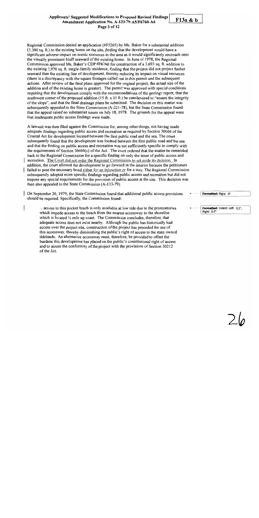F13a & b

Regional Commission denied an application (#F5265) by Ms. Baker for a substantial addition  $(3.300 \text{ sq. ft.})$  to the existing home on the site, finding that the development would have a significant adverse impact on scenic resources in the area as it would significantly encroach onto the visually prominent bluff seaward of the existing home. In June of 1978, the Regional Commission approved Ms. Baker's CDP #F6760 for construction of a 3,693 sq. ft. addition to the existing 2,970 sq. ft. single-family residence, finding that the project did not project further seaward than the existing line of development, thereby reducing its impact on visual resources (there is a discrepancy with the square footages called out in this permit and the subsequent actions. After review of the final plans approved for the original project, the actual size of the addition and of the existing home is greater). The permit was approved with special conditions requiring that the development comply with the recommendations of the geology report, that the southwest corner of the proposed addition (15 ft. x 15 ft.) be cantilevered to "ensure the integrity of the slope", and that the final drainage plans be submitted. The decision on this matter was subsequently appealed to the State Commission (A-221-78), but the State Commission found that the appeal raised no substantial issues on July 18, 1978. The grounds for the appeal were that inadequate public access findings were made.

A lawsuit was then filed against the Commission for, among other things, not having made adequate findings regarding public access and recreation as required by Section 30604 of the Coastal Act for development located between the first public road and the sea. The court subsequently found that the development was located between the first public road and the sea and that the finding on public access and recreation was not sufficiently specific to comply with the requirements of Section 30604(c) of the Act. The court ordered that the matter be remanded back to the Regional Commission for a specific finding on only the issue of public access and recreation. The Court did not order the Regional Commission to set aside its decision. In addition, the court allowed the development to go forward in the interim because the petitioners failed to post the necessary bond either for an injunction or for a stay. The Regional Commission subsequently adopted more specific findings regarding public access and recreation but did not impose any special requirements for the provision of public access at the site. This decision was then also appealed to the State Commission (A-133-79).

On September 20, 1979, the State Commission found that additional public access provisions should be required. Specifically, the Commission found:

...access to this pocket beach is only available at low tide due to the promontories which impede access to the beach from the nearest accessway to the shoreline which is located  $\frac{1}{4}$  mile up coast. The Commission concludes, therefore, that adequate access does not exist nearby. Although the public has historically had access over the project site, construction of the project has preceded the use of this accessway, thereby diminishing the public's right of access to the state owned tidelands. An alternative accessway must, therefore, be provided to offset the burdens this development has placed on the public's constitutional right of access and to assure the conformity of the project with the provisions of Section 30212 of the Act.

Formatted: Right: 0"

Formatted: Indent: Left: 0.5", Right: 0.5"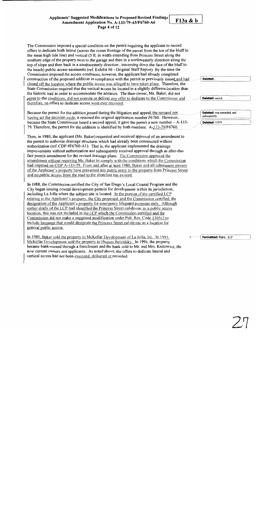F13a & b

The Commission imposed a special condition on the permit requiring the applicant to record offers to dedicate both lateral (across the ocean frontage of the parcel from the toe of the bluff to the mean high tide line) and vertical (5 ft. in width extending from Princess Street along the southern edge of the property next to the garage and then in a northwesterly direction along the top of slope and then back in a southwesterly direction, traversing down the face of the bluff to the beach) public access easements (ref. Exhibit  $#6$  - Original Staff Report). By the time the Commission imposed the access conditions, however, the applicant had already completed construction of the proposed addition in compliance with the permit as previously issued and had closed off the location where the public access was alleged to have taken place. Therefore, the State Commission required that the vertical access be located in a slightly different location than the historic trail in order to accommodate the addition. The then-owner, Ms. Baker, did not agree to the conditions, did not execute or deliver any offer to dedicate to the Commission and therefore, no offers to dedicate access were ever recorded.

Because the permit for the addition issued during the litigation and appeal, the remand not having set the decision aside, it retained the original application number F6760. However, because the State Commission heard a second appeal, it gave the permit a new number - A-133-79. Therefore, the permit for the addition is identified by both numbers: A-133-79/F6760.

Then, in 1980, the applicant (Ms. Baker) requested and received approval of an amendment to the permit to authorize drainage structures which had already been constructed without authorization (ref. CDP #F6760-A1). That is, the applicant implemented the drainage improvements without authorization and subsequently received approval through an after-thefact permit amendment for the revised drainage plans. The Commission approved the amendment without requiring Ms. Baker to comply with the conditions which the Commission had imposed on CDP A-133-79. From and after at least 1980, Baker and all subsequent owners of the Applicant's property have prevented any public entry to the property from Princess Street and no public access from the road to the shoreline has existed.

In 1988, the Commission certified the City of San Diego's Local Coastal Program and the City began issuing coastal development permits for development within its jurisdiction, including La Jolla where the subject site is located. In the portion of the certified LCP relating to the Applicant's property, the City proposed, and the Commission certified, the designation of the Applicant's property for emergency lifeguard purposes only. Although earlier drafts of the LCP had identified the Princess Street cul-de-sac as a public access location, this was not included in the LCP which the Commission certified and the Commission did not make a suggested modification under Pub. Res. Code §30512 to include language that would designate the Princess Street cul-de-sac as a location for general public access.

In 1989, Baker sold the property to McKellar Development of La Jolla, Inc. In 1991, McKellar Development sold the property to Hugues Belzidsky. In 1994, the property became bank-owned through a foreclosure and the bank sold to Mr. and Mrs. Kretowicz, the now current owners and applicants. As noted above, the offers to dedicate lateral and vertical access had not been executed, delivered or recorded.

| Deleted: record                                   |  |
|---------------------------------------------------|--|
|                                                   |  |
|                                                   |  |
|                                                   |  |
|                                                   |  |
| <b>Deleted:</b> was remanded, and<br>subsequently |  |

Deleted:

Formatted: Right: 0.3"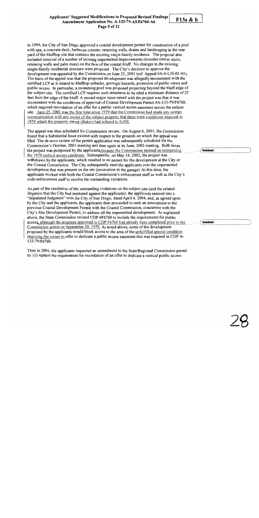In 1999, the City of San Diego approved a coastal development permit for construction of a pool with spa, a concrete deck, barbecue counter, retaining walls, drains and landscaping in the rear yard of the blufftop site that contains the existing single-family residence. The proposal also included removal of a number of existing unpermitted improvements (wooden timber stairs, retaining walls and palm trees) on the face of the coastal bluff. No changes to the existing single-family residential structure were proposed. The City's decision to approve the development was appealed by the Commission on June 25, 2001 (ref. Appeal #A-6-LJS-01-95). The basis of the appeal was that the proposed development was allegedly inconsistent with the certified LCP as it related to blufftop setbacks, geologic hazards, protection of public views and public access. In particular, a swimming pool was proposed projecting beyond the bluff edge of the subject site. The certified LCP requires such structures to be sited a minimum distance of 25 feet from the edge of the bluff. A second major issue raised with the project was that it was inconsistent with the conditions of approval of Coastal Development Permit #A-133-79/F6760, which required recordation of an offer for a public vertical access easement across the subject site. June 25, 2001 was the first time since 1979 that the Commission had made any written communication with any owner of the subject property that there were conditions imposed in 1979 which the property owner (Baker) had refused to fulfill.

The appeal was thus scheduled for Commission review. On August 6, 2001, the Commission found that a Substantial Issue existed with respect to the grounds on which the appeal was filed. The de novo review of the permit application was subsequently scheduled for the Commission's October, 2001 meeting and then again at its June, 2002 meeting. Both times the project was postponed by the applicants because the Commission insisted on reimposing the 1979 vertical access condition. Subsequently, on May 14, 2002, the project was withdrawn by the applicants, which resulted in no permit for the development at the City or the Coastal Commission. The City subsequently sued the applicants over the unpermitted development that was present on the site (excavation in the garage). At this time, the applicants worked with both the Coastal Commission's enforcement staff as well as the City's code enforcement staff to resolve the outstanding violations.

As part of the resolution of the outstanding violations on the subject site (and the related litigation that the City had instituted against the applicants), the applicants entered into a "Stipulated Judgment" with the City of San Diego, dated April 4, 2004, and, as agreed upon by the City and the applicants, the applicants then proceeded to seek an amendment to the previous Coastal Development Permit with the Coastal Commission, concurrent with the City's Site Development Permit, to address all the unpermitted development. As explained above, the State Commission revised CDP #F6760 to include the requirements for public access, although the structure approved in CDP F6760 had already been completed prior to the Commission action on September 20, 1979. As noted above, some of the development proposed by the applicants would block access to the area of the unfulfilled special condition requiring the owner to offer to dedicate a public access easement that was required in CDP A-133-79/F6760.

Then in 2004, the applicants requested an amendment to the State/Regional Commission permit to: (1) replace the requirement for recordation of an offer to dedicate a vertical public access

Deleted:

F13a & b

Deleted: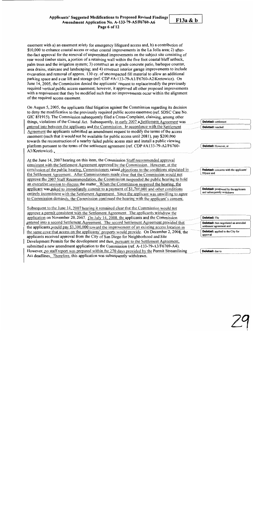#### **Applicants' Suggested Modifications to Proposed Revised Findings** Amendment Application No. A-133-79-A5/F6760-A6 Page 6 of 12

easement with a) an easement solely for emergency lifeguard access and, b) a contribution of \$10,000 to enhance coastal access or other coastal improvements in the La Jolla area; 2) afterthe-fact approval for the removal of unpermitted improvements on the subject site consisting of rear wood timber stairs, a portion of a retaining wall within the five foot coastal bluff setback, palm trees and the irrigation system; 3) construct an at-grade concrete patio, barbeque counter, area drains, staircase and landscaping; and 4) construct interior garage improvements to include excavation and removal of approx. 130 cy. of uncompacted fill material to allow an additional parking space and a car lift and storage (ref. CDP #A-133-79-A1/F6760-A2/Kretowicz). On June 14, 2005, the Commission denied the applicants' request to replace/modify the previously required vertical public access easement; however, it approved all other proposed improvements with a requirement that they be modified such that no improvements occur within the alignment of the required access easement.

On August 5, 2005, the applicants filed litigation against the Commission regarding its decision to deny the modification to the previously required public access easement (ref. SDSC Case No. GIC 851915). The Commission subsequently filed a Cross-Complaint, claiming, among other things, violations of the Coastal Act. Subsequently, in early 2007 a Settlement Agreement was entered into between the applicants and the Commission. In accordance with the Settlement Agreement the applicants submitted an amendment request to modify the terms of the access easement (such that it would not be available for public access until 2081), pay \$200,000 towards the reconstruction of a nearby failed public access stair and install a public viewing platform pursuant to the terms of the settlement agreement (ref. CDP #A133-79-A2/F6760-A3/Kretowicz).

At the June 14, 2007 hearing on this item, the Commission Staff recommended approval consistent with the Settlement Agreement approved by the Commission. However, at the conclusion of the public hearing, Commissioners raised objections to the conditions stipulated in the Settlement Agreement. After Commissioners made clear that the Commission would not approve the 2007 Staff Recommendation, the Commission suspended the public hearing to hold an executive session to discuss the matter. When the Commission reopened the hearing, the applicant was asked to immediately commit to a payment of \$1,700,000 and other conditions entirely inconsistent with the Settlement Agreement. Since the applicant was unwilling to agree to Commission demands, the Commission continued the hearing with the applicant's consent.

Subsequent to the June 14, 2007 hearing it remained clear that the Commission would not approve a permit consistent with the Settlement Agreement. The applicants with drew the application on November 20, 2007. On July 14, 2008, the applicants and the Commission entered into a second Settlement Agreement. The second Settlement Agreement provided that the applicants would pay \$3,300,000 toward the improvement of an existing access location in the same cove that access on the applicants' property would provide. On December 2, 2008, the applicants received approval from the City of San Diego for Neighborhood and Site Development Permits for the development and then, pursuant to the Settlement Agreement, submitted a new amendment application to the Commission (ref. A-133-79-A3/F6769-A4). However, no staff report was prepared within the 270 days provided by the Permit Streamlining Act deadlines. Therefore, this application was subsequently withdrawn.

**Deleted:** settlement

Deleted: reached

Deleted: However, at

Deleted: concerns with the applicants' request and

Deleted: postponed by the applicants

| Deleted: The                                                           |
|------------------------------------------------------------------------|
| <b>Deleted:</b> then negotiated an amended<br>settlement agreement and |
| <b>Deleted:</b> applied to the City for<br>approval                    |

Deleted: due to

F13a & b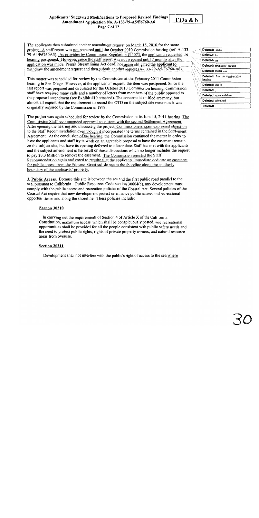#### **Applicants' Suggested Modifications to Proposed Revised Findings** Amendment Application No. A-133-79-A5/F6760-A6 Page 7 of 12

F13a & b

The applicants then submitted another amendment request on March 15, 2010 for the same project. A staff report was not prepared until the October 2010 Commission hearing (ref. A-133-79-A4/F6760A5). As provided by Commission Regulation §13073, the applicants requested the hearing postponed. However, since the staff report was not prepared until 7 months after the application was made, Permit Streamlining Act deadlines again obligated the applicant to withdraw the amendment request and then submit another request  $(A-133-79-AS/F6760-AS)$ .

This matter was scheduled for review by the Commission at the February 2011 Commission hearing in San Diego. However, at the applicants' request, the item was postponed. Since the last report was prepared and circulated for the October 2010 Commission hearing, Commission staff have received many calls and a number of letters from members of the public opposed to the proposed amendment (see Exhibit #10 attached). The concerns identified are many, but almost all request that the requirement to record the OTD on the subject site remain as it was originally required by the Commission in 1979.

The project was again scheduled for review by the Commission at its June 15, 2011 hearing. The Commission Staff recommended approval consistent with the second Settlement Agreement. After opening the hearing and discussing the project, Commissioners again expressed objection to the Staff Recommendation even though it incorporated the terms contained in the Settlement Agreement. At the conclusion of the hearing, the Commission continued the matter in order to have the applicants and staff try to work on an agreeable proposal to have the easement remain on the subject site, but have its opening deferred to a later date. Staff has met with the applicants and the subject amendment is the result of those discussions which no longer includes the request to pay \$3.3 Million to remove the easement. The Commission rejected the Staff Recommendation again and voted to require that the applicants immediate dedicate an easement for public access from the Princess Street cul-de-sac to the shoreline along the southerly boundary of the applicants' property.

3. Public Access. Because this site is between the sea and the first public road parallel to the sea, pursuant to California Public Resources Code section 30604(c), any development must comply with the public access and recreation policies of the Coastal Act. Several policies of the Coastal Act require that new development protect or enhance public access and recreational opportunities to and along the shoreline. These policies include:

#### Section 30210

In carrying out the requirements of Section 4 of Article X of the California Constitution, maximum access, which shall be conspicuously posted, and recreational opportunities shall be provided for all the people consistent with public safety needs and the need to protect public rights, rights of private property owners, and natural resource areas from overuse.

#### **Section 30211**

Development shall not interfere with the public's right of access to the sea where

| <b>Deleted:</b> and a                            |
|--------------------------------------------------|
| <b>Deleted:</b> for                              |
| <b>Deleted: At</b>                               |
| <b>Deleted:</b> applicants' request              |
| <b>Deleted:</b> matter was                       |
| <b>Deleted:</b> from the October 2010<br>hearing |
| <b>Deleted:</b> due to                           |
| Deleted:                                         |
| <b>Deleted:</b> again withdrew                   |
| <b>Deleted:</b> submitted                        |
| Deleted:                                         |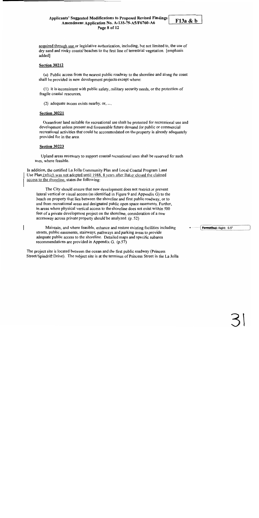#### **Applicants' Suggested Modifications to Proposed Revised Findings** Amendment Application No. A-133-79-A5/F6760-A6 Page 8 of 12

F13a & b

acquired through use or legislative authorization, including, but not limited to, the use of dry sand and rocky coastal beaches to the first line of terrestrial vegetation. [emphasis added]

#### **Section 30212**

(a) Public access from the nearest public roadway to the shoreline and along the coast shall be provided in new development projects except where:

(1) it is inconsistent with public safety, military security needs, or the protection of fragile coastal resources,

(2) adequate access exists nearby, or, ....

#### Section 30221

Oceanfront land suitable for recreational use shall be protected for recreational use and development unless present and foreseeable future demand for public or commercial recreational activities that could be accommodated on the property is already adequately provided for in the area.

#### **Section 30223**

 $\overline{\phantom{a}}$ 

Upland areas necessary to support coastal recreational uses shall be reserved for such uses, where feasible.

In addition, the certified La Jolla Community Plan and Local Coastal Program Land Use Plan (which was not adopted until 1988, 8 years after Baker closed the claimed access to the shoreline, states the following:

The City should ensure that new development does not restrict or prevent lateral vertical or visual access (as identified in Figure 9 and Appendix G) to the beach on property that lies between the shoreline and first public roadway, or to and from recreational areas and designated public open space easements. Further, in areas where physical vertical access to the shoreline does not exist within 500 feet of a private development project on the shoreline, consideration of a new accessway across private property should be analyzed. (p. 52)

Maintain, and where feasible, enhance and restore existing facilities including streets, public easements, stairways, pathways and parking areas to provide adequate public access to the shoreline. Detailed maps and specific subarea recommendations are provided in Appendix G. (p.57)

The project site is located between the ocean and the first public roadway (Princess Street/Spindrift Drive). The subject site is at the terminus of Princess Street in the La Jolla Formatted: Right: 0.5"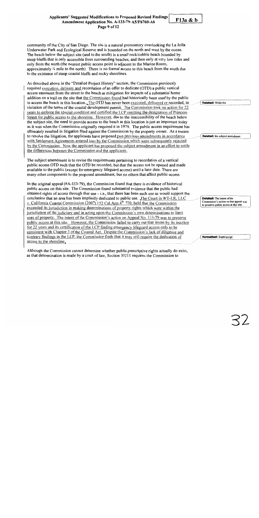#### Applicants' Suggested Modifications to Proposed Revised Findings Amendment Application No. A-133-79-A5/F6760-A6 Page 9 of 12

community of the City of San Diego. The site is a natural promontory overlooking the La Jolla Underwater Park and Ecological Reserve and is bounded on the north and west by the ocean. The beach below the subject site (and to the south) is a small rock/cobble beach bounded by steep bluffs that is only accessible from surrounding beaches, and then only at very low tides and only from the north (the nearest public access point is adjacent to the Marine Room, approximately  $\frac{1}{4}$  mile to the north). There is no formal access to this beach from the south due to the existence of steep coastal bluffs and rocky shorelines.

As described above in the "Detailed Project History" section, the Commission previously required execution, delivery and recordation of an offer to dedicate (OTD) a public vertical access easement from the street to the beach as mitigation for impacts of a substantial home addition on a trail on the site that the Commission found had historically been used by the public to access the beach in this location. The OTD has never been executed, delivered or recorded, in violation of the terms of the coastal development permit. The Commission took no action for 22 years to enforce the special condition and certified the LCP omitting the designation of Princess Street for public access to the shoreline. However, due to the inaccessibility of the beach below the subject site, the need to provide access to the beach at this location is just as important today as it was when the Commission originally required it in 1979. The public access requirement has ultimately resulted in litigation filed against the Commission by the property owner. As a means to resolve the litigation, the applicants have proposed two previous amendments in accordance with Settlement Agreements entered into by the Commission which were subsequently rejected by the Commission. Now the applicant has proposed the subject amendment in an effort to settle the differences between the Commission and the applicants.

The subject amendment is to revise the requirements pertaining to recordation of a vertical public access OTD such that the OTD be recorded, but that the access not be opened and made available to the public (except for emergency lifeguard access) until a later date. There are many other components to the proposed amendment, but no others that affect public access.

In the original appeal  $(HA-133-79)$ , the Commission found that there is evidence of historical public access on this site. The Commission found substantial evidence that the public had obtained rights of access through that use  $-$  i.e., that there has been such use as would support the conclusion that an area has been impliedly dedicated to public use. The Court in WT-LR, LLC v. California Coastal Commission (2007) 152 Cal App.<sup>4th</sup> 770, held that the Commission exceeded its jurisdiction in making determinations of property rights which were within the jurisdiction of the judiciary and in acting upon the Commission's own determinations to limit uses of property. The intent of the Commission's action on Appeal No. 133-79 was to preserve public access at this site. However, the Commission failed to carry out that intent by its inaction for 22 years and its certification of the LCP finding emergency lifeguard access only to be consistent with Chapter 3 of the Coastal Act. Despite the Commission's lack of diligence and contrary findings in the LCP, the Commission finds that it may still require the dedication of access to the shoreline.

Although the Commission cannot determine whether public prescriptive rights actually do exist, as that determination is made by a court of law, Section 30211 requires the Commission to

Deleted: the subject amendment

Deleted: While the

F13a & b

Deleted: The intent of the Commission's action on that appeal was to preserve public access at this site

Formatted: Superscript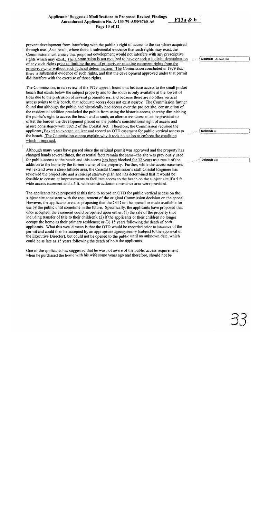#### Applicants' Suggested Modifications to Proposed Revised Findings Amendment Application No. A-133-79-A5/F6760-A6 Page 10 of 12

 $F13a \& b$ 

prevent development from interfering with the public's right of access to the sea where acquired through use. As a result, where there is substantial evidence that such rights may exist, the Commission must ensure that proposed development would not interfere with any prescriptive rights which may exist. The Commission is not required to have or seek a judicial determination of any such rights prior to limiting the use of property or exacting easement rights from the property owner without such judicial determination. The Commission concluded in 1979 that there is substantial evidence of such rights, and that the development approved under that permit did interfere with the exercise of those rights.

The Commission, in its review of the 1979 appeal, found that because access to the small pocket beach that exists below the subject property and to the south is only available at the lowest of tides due to the protrusion of several promontories, and because there are no other vertical access points to this beach, that adequate access does not exist nearby. The Commission further found that although the public had historically had access over the project site, construction of the residential addition precluded the public from using the historic access, thereby diminishing the public's right to access the beach and as such, an alternative access must be provided to offset the burden the development placed on the public's constitutional right of access and assure consistency with 30212 of the Coastal Act. Therefore, the Commission required the applicant (Baker) to execute, deliver and record an OTD easement for public vertical access to the beach. The Commission cannot explain why it took no action to enforce the condition which it imposed.

Although many years have passed since the original permit was approved and the property has changed hands several times, the essential facts remain the same--the site was previously used for public access to the beach and this access has been blocked for 32 years as a result of the addition to the home by the former owner of the property. Further, while the access easement will extend over a steep hillside area, the Coastal Commission's staff Coastal Engineer has reviewed the project site and a concept stairway plan and has determined that it would be feasible to construct improvements to facilitate access to the beach on the subject site if a 5 ft. wide access easement and a 5 ft. wide construction/maintenance area were provided.

The applicants have proposed at this time to record an OTD for public vertical access on the subject site consistent with the requirement of the original Commission decision on the appeal. However, the applicants are also proposing that the OTD not be opened or made available for use by the public until sometime in the future. Specifically, the applicants have proposed that once accepted, the easement could be opened upon either, (1) the sale of the property (not including transfer of title to their children); (2) if the applicants or their children no longer occupy the home as their primary residence; or  $(3)$  15 years following the death of both applicants. What this would mean is that the OTD would be recorded prior to issuance of the permit and could then be accepted by an appropriate agency/entity (subject to the approval of the Executive Director), but could not be opened to the public until an unknown date, which could be as late as 15 years following the death of both the applicants.

One of the applicants has suggested that he was not aware of the public access requirement when he purchased the home with his wife some years ago and therefore, should not be

Deleted: As such, the

Deleted: to

Deleted: was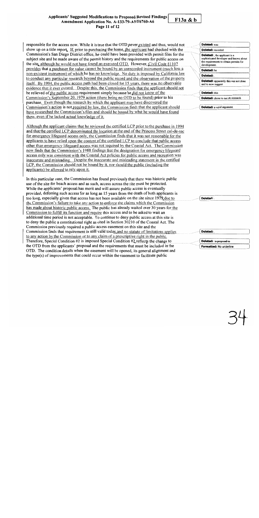#### **Applicants' Suggested Modifications to Proposed Revised Findings** Amendment Application No. A-133-79-A5/F6760-A6 Page 11 of 12

 $F13a & b$ 

responsible for the access now. While it is true that the OTD never existed and thus, would not show up on a title report. If, prior to purchasing the home, the applicant had checked with the Commission's San Diego District office, he could have been provided with permit files for the subject site and be made aware of the permit history and the requirements for public access on the site, although he would not have found an executed OTD. However, Civil Code §1107 provides that a purchaser for value cannot be bound by an unrecorded instrument (much less a non-existent instrument) of which he has no knowledge. No duty is imposed by California law to conduct any particular research beyond the public record and the observation of the property itself. By 1994, the public access path had been closed for 15 years, there was no observable evidence that it ever existed. Despite this, the Commission finds that the applicant should not be relieved of the public access requirement simply because he did not know of the Commission's September 20, 1979 action (there being no OTD to be found) prior to his purchase. Even though the research by which the applicant may have discovered the Commission's action is not required by law, the Commission finds that the applicant should have researched the Commission's files and should be bound by what he would have found there, even if he lacked actual knowledge of it.

Although the applicant claims that he reviewed the certified LCP prior to the purchase in 1994 and that the certified LCP denominated the location at the end of the Princess Street cul-de-sac for emergency lifeguard access only, the Commission finds that it was not reasonable for the applicants to have relied upon the content of the certified LCP to conclude that public access other than emergency lifeguard access was not required by the Coastal Act. The Commission now finds that the Commission's 1988 findings that the designation for emergency lifeguard access only was consistent with the Coastal Act policies for public access and recreation was inaccurate and misleading. Despite the inaccurate and misleading statement in the certified LCP, the Commission should not be bound by it, nor should the public (including the applicants) be allowed to rely upon it.

In this particular case, the Commission has found previously that there was historic public use of the site for beach access and as such, access across the site must be protected. While the applicants' proposal has merit and will assure public access is eventually provided, deferring such access for as long as 15 years from the death of both applicants is too long, especially given that access has not been available on the site since 1979 due to the Commission's failure to take any action to enforce the claims which the Commission has made about historic public access. The public has already waited over 30 years for the Commission to fulfill its function and require this access and to be asked to wait an additional time period is not acceptable. To continue to deny public access at this site is to deny the public a constitutional right as cited in Section 30210 of the Coastal Act. The Commission previously required a public access easement on this site and the Commission finds that requirement is still valid today and no statute of limitations applies to any action by the Commission or to any claim of a prescriptive right in the public. Therefore, Special Condition #2 is imposed Special Condition #2 reflects the change to the OTD from the applicants' proposal and the requirements that must be included in the OTD. The condition details when the easement will be opened, its general alignment and the type(s) of improvements that could occur within the easement to facilitate public

| <b>Deleted:</b> was                                                                                                                       |
|-------------------------------------------------------------------------------------------------------------------------------------------|
| <b>Deleted:</b> recorded                                                                                                                  |
| <b>Deleted:</b> , the applicant is a<br>sophisticated developer and knows about<br>the requirements to obtain permits for<br>development. |
| Deleted: he                                                                                                                               |
| Deleted:                                                                                                                                  |
| <b>Deleted:</b> apparently this was not done<br>and to now suggest                                                                        |
| <b>Deleted:</b> this                                                                                                                      |
| <b>Deleted:</b> chose to not do research                                                                                                  |

Deleted: a valid argument

Deleted:

Deleted:

Deleted: is proposed to

Formatted: No underline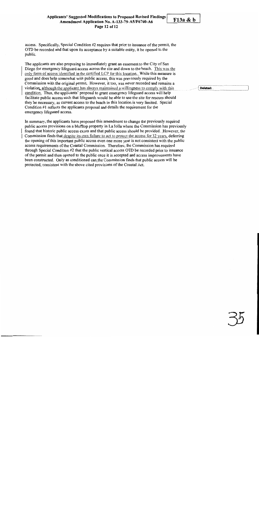$F13a \& b$ 

access. Specifically, Special Condition #2 requires that prior to issuance of the permit, the OTD be recorded and that upon its acceptance by a suitable entity, it be opened to the public.

The applicants are also proposing to immediately grant an easement to the City of San Diego for emergency lifeguard access across the site and down to the beach. This was the only form of access identified in the certified LCP for this location. While this measure is good and does help somewhat with public access, this was previously required by the Commission with the original permit. However, it too, was never recorded and remains a violation, although the applicant has always maintained a willingness to comply with this condition. Thus, the applicants' proposal to grant emergency lifeguard access will help facilitate public access such that lifeguards would be able to use the site for rescues should they be necessary, as current access to the beach in this location is very limited. Special Condition #1 reflects the applicants proposal and details the requirement for the emergency lifeguard access.

In summary, the applicants have proposed this amendment to change the previously required public access provisions on a blufftop property in La Jolla where the Commission has previously found that historic public access exists and that public access should be provided. However, the Commission finds that despite its own failure to act to protect the access for 32 years, deferring the opening of this important public access even one more year is not consistent with the public access requirements of the Coastal Commission. Therefore, the Commission has required through Special Condition #2 that the public vertical access OTD be recorded prior to issuance of the permit and then opened to the public once it is accepted and access improvements have been constructed. Only as conditioned can the Commission finds that public access will be protected, consistent with the above cited provisions of the Coastal Act.

Deleted: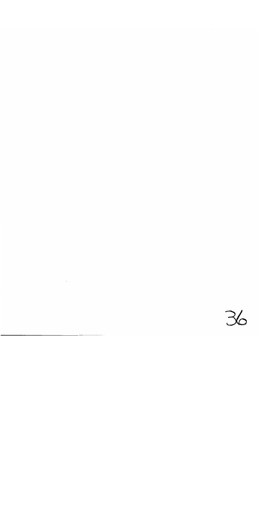

 $\ddot{\phantom{a}}$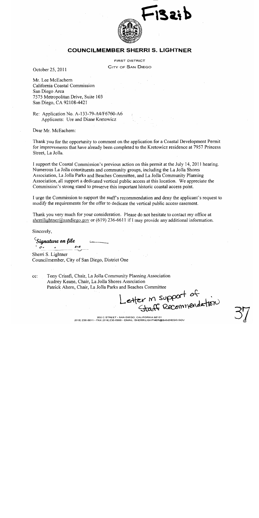

### **COUNCILMEMBER SHERRI S. LIGHTNER**

**FIRST DISTRICT CITY OF SAN DIEGO** 

October 25, 2011

Mr. Lee McEachern California Coastal Commission San Diego Area 7575 Metropolitan Drive, Suite 103 San Diego, CA 92108-4421

Re: Application No. A-133-79-A4/F6760-A6 Applicants: Ure and Diane Kretowicz

Dear Mr. McEachern:

Thank you for the opportunity to comment on the application for a Coastal Development Permit for improvements that have already been completed to the Kretowicz residence at 7957 Princess Street, La Jolla.

I support the Coastal Commission's previous action on this permit at the July 14, 2011 hearing. Numerous La Jolla constituents and community groups, including the La Jolla Shores Association, La Jolla Parks and Beaches Committee, and La Jolla Community Planning Association, all support a dedicated vertical public access at this location. We appreciate the Commission's strong stand to preserve this important historic coastal access point.

I urge the Commission to support the staff's recommendation and deny the applicant's request to modify the requirements for the offer to dedicate the vertical public access easement.

Thank you very much for your consideration. Please do not hesitate to contact my office at sherrilightner@sandiego.gov or (619) 236-6611 if I may provide any additional information.

Sincerely,

*Signature on file*  $\mathbf{c}$ 

Sherri S. Lightner Councilmember, City of San Diego, District One

Tony Crisafi, Chair, La Jolla Community Planning Association  $cc$ : Audrey Keane, Chair, La Jolla Shores Association Patrick Ahern, Chair, La Jolla Parks and Beaches Committee

etter m support of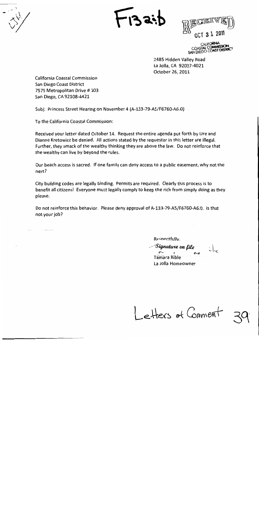

32:1



CALIFORNIA<br>STAL COMMISSION COAST DISTRICT SAN DIEGO

2485 Hidden Valley Road La Jolla, CA 92037-4021 October 26, 2011

**California Coastal Commission** San Diego Coast District 7575 Metropolitan Drive #103 San Diego, CA 92108-4421

Subj: Princess Street Hearing on November 4 (A-133-79-A5/F6760-A6.0)

To the California Coastal Commission:

Received your letter dated October 14. Request the entire agenda put forth by Ure and Dianne Kretowicz be denied. All actions stated by the requestor in this letter are illegal. Further, they smack of the wealthy thinking they are above the law. Do not reinforce that the wealthy can live by beyond the rules.

Our beach access is sacred. If one family can deny access to a public easement, why not the next?

City building codes are legally binding. Permits are required. Clearly this process is to benefit all citizens! Everyone must legally comply to keep the rich from simply doing as they please.

Do not reinforce this behavior. Please deny approval of A-133-79-A5/F6760-A6.0. Is that not your job?

Respectfully,

Signature on file  $\frac{1}{2}$  $\mathbf{C}$  $0 - 0$ Tamara Rible La Jolla Homeowner

Letters of Comment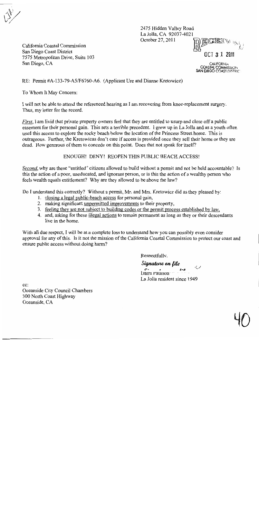2475 Hidden Valley Road La Jolla, CA 92037-4021 October 27, 2011

ECEIW R OCT 3 1 2011

California Coastal Commission San Diego Coast District 7575 Metropolitan Drive, Suite 103 San Diego, CA

CALIFORNIA<br>COASTAL COMMISSION **SAN DIEGO COAST DISTRIC** 

RE: Permit #A-133-79-A5/F6760-A6. (Applicant Ure and Dianne Kretowicz)

To Whom It May Concern:

I will not be able to attend the referenced hearing as I am recovering from knee-replacement surgery. Thus, my letter for the record.

*First*, I am livid that private property owners feel that they are entitled to usurp and close off a public easement for their personal gain. This sets a terrible precedent. I grew up in La Jolla and as a youth often used this access to explore the rocky beach below the location of the Princess Street home. This is outrageous. Further, the Kretowicas don't care if access is provided once they sell their home or they are dead. How generous of them to concede on this point. Does that not speak for itself?

## ENOUGH! DENY! REOPEN THIS PUBLIC BEACH ACCESS!

Second, why are these "entitled" citizens allowed to build without a permit and not be held accountable? Is this the action of a poor, uneducated, and ignorant person, or is this the action of a wealthy person who feels wealth equals entitlement? Why are they allowed to be above the law?

Do I understand this correctly? Without a permit, Mr. and Mrs. Kretowicz did as they pleased by:

- 1. closing a legal public-beach access for personal gain,
- 2. making significant unpermitted improvements to their property.
- 3. feeling they are not subject to building codes or the permit process established by law.
- 4. and, asking for these illegal actions to remain permanent as long as they or their descendants live in the home.

With all due respect, I will be at a complete loss to understand how you can possibly even consider approval for any of this. Is it not the mission of the California Coastal Commission to protect our coast and ensure public access without doing harm?

Respectfully.

Signature on file

 $\sim$  $\text{D}$ arra Paurson<sup>--</sup> La Jolla resident since 1949

 $\sim$ 

 $cc$ : Oceanside City Council Chambers 300 North Coast Highway Oceanside, CA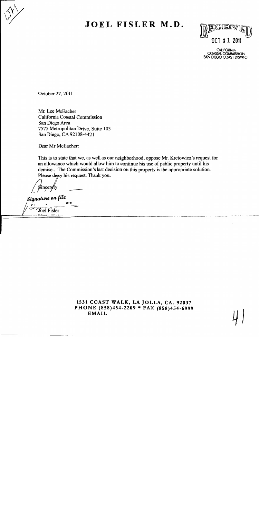

## JOEL FISLER M.D.



CALIFORNIA<br>COASTAL COMMISSION<br>SAN DIEGO COAST DISTRICT

October 27, 2011

Mr. Lee McEacher California Coastal Commission San Diego Area 7575 Metropolitan Drive, Suite 103 San Diego, CA 92108-4421

Dear Mr McEacher:

This is to state that we, as well as our neighborhood, oppose Mr. Kretowicz's request for an allowance which would allow him to continue his use of public property until his demise.. The Commission's last decision on this property is the appropriate solution. Please deny his request. Thank you.

Sincerely

Signature on file  $\mathbf{a}$ Toel Fisler <u>ri 1. pil</u>

1531 COAST WALK, LA JOLLA, CA. 92037 PHONE (858)454-2209 \* FAX (858)454-6999 **EMAIL**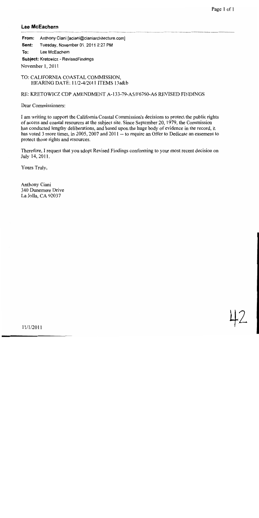## Lee McEachern

From: Anthony Ciani [aciani@cianiarchitecture.com] Tuesday, November 01, 2011 2:27 PM Sent: To: Lee McEachern Subject: Kretowicz - RevisedFindings

November 1, 2011

TO: CALIFORNIA COASTAL COMMISSION, HEARING DATE: 11/2-4/2011 ITEMS 13a&b

RE: KRETOWICZ CDP AMENDMENT A-133-79-A5/F6760-A6 REVISED FINDINGS

Dear Commissioners:

I am writing to support the California Coastal Commission's decisions to protect the public rights of access and coastal resources at the subject site. Since September 20, 1979, the Commission has conducted lengthy deliberations, and based upon the huge body of evidence in the record, it has voted 3 more times, in 2005, 2007 and 2011 -- to require an Offer to Dedicate an easement to protect those rights and resources.

Therefore, I request that you adopt Revised Findings conforming to your most recent decision on July 14, 2011.

Yours Truly,

Anthony Ciani 340 Dunemere Drive La Jolla, CA 92037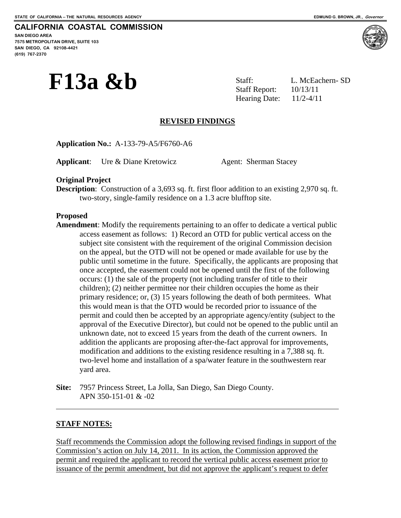#### <span id="page-24-0"></span>**CALIFORNIA COASTAL COMMISSION SAN DIEGO AREA**

**7575 METROPOLITAN DRIVE, SUITE 103 SAN DIEGO, CA 92108-4421 (619) 767-2370**

**F13a &b** 

 $\mathcal{L}$   $\mathcal{L}$   $\mathcal{L}$   $\mathcal{L}$   $\mathcal{L}$   $\mathcal{L}$   $\mathcal{L}$   $\mathcal{L}$   $\mathcal{L}$   $\mathcal{L}$   $\mathcal{L}$   $\mathcal{L}$   $\mathcal{L}$   $\mathcal{L}$   $\mathcal{L}$   $\mathcal{L}$   $\mathcal{L}$   $\mathcal{L}$   $\mathcal{L}$   $\mathcal{L}$   $\mathcal{L}$   $\mathcal{L}$   $\mathcal{L}$   $\mathcal{L}$   $\mathcal{$  Staff Report: 10/13/11 Hearing Date: 11/2-4/11

#### **REVISED FINDINGS**

**Application No.:** A-133-79-A5/F6760-A6

**Applicant**: Ure & Diane Kretowicz Agent: Sherman Stacey

#### **Original Project**

**Description**: Construction of a 3,693 sq. ft. first floor addition to an existing 2,970 sq. ft. two-story, single-family residence on a 1.3 acre blufftop site.

#### **Proposed**

- **Amendment**: Modify the requirements pertaining to an offer to dedicate a vertical public access easement as follows: 1) Record an OTD for public vertical access on the subject site consistent with the requirement of the original Commission decision on the appeal, but the OTD will not be opened or made available for use by the public until sometime in the future. Specifically, the applicants are proposing that once accepted, the easement could not be opened until the first of the following occurs: (1) the sale of the property (not including transfer of title to their children); (2) neither permittee nor their children occupies the home as their primary residence; or, (3) 15 years following the death of both permitees. What this would mean is that the OTD would be recorded prior to issuance of the permit and could then be accepted by an appropriate agency/entity (subject to the approval of the Executive Director), but could not be opened to the public until an unknown date, not to exceed 15 years from the death of the current owners. In addition the applicants are proposing after-the-fact approval for improvements, modification and additions to the existing residence resulting in a 7,388 sq. ft. two-level home and installation of a spa/water feature in the southwestern rear yard area.
- **Site:** 7957 Princess Street, La Jolla, San Diego, San Diego County. APN 350-151-01 & -02

#### **STAFF NOTES:**

 $\overline{a}$ 

Staff recommends the Commission adopt the following revised findings in support of the Commission's action on July 14, 2011. In its action, the Commission approved the permit and required the applicant to record the vertical public access easement prior to issuance of the permit amendment, but did not approve the applicant's request to defer

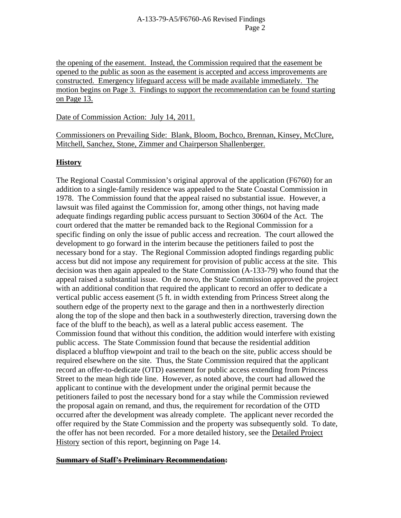the opening of the easement. Instead, the Commission required that the easement be opened to the public as soon as the easement is accepted and access improvements are constructed. Emergency lifeguard access will be made available immediately. The motion begins on Page 3. Findings to support the recommendation can be found starting on Page 13.

Date of Commission Action: July 14, 2011.

Commissioners on Prevailing Side: Blank, Bloom, Bochco, Brennan, Kinsey, McClure, Mitchell, Sanchez, Stone, Zimmer and Chairperson Shallenberger.

## **History**

The Regional Coastal Commission's original approval of the application (F6760) for an addition to a single-family residence was appealed to the State Coastal Commission in 1978. The Commission found that the appeal raised no substantial issue. However, a lawsuit was filed against the Commission for, among other things, not having made adequate findings regarding public access pursuant to Section 30604 of the Act. The court ordered that the matter be remanded back to the Regional Commission for a specific finding on only the issue of public access and recreation. The court allowed the development to go forward in the interim because the petitioners failed to post the necessary bond for a stay. The Regional Commission adopted findings regarding public access but did not impose any requirement for provision of public access at the site. This decision was then again appealed to the State Commission (A-133-79) who found that the appeal raised a substantial issue. On de novo, the State Commission approved the project with an additional condition that required the applicant to record an offer to dedicate a vertical public access easement (5 ft. in width extending from Princess Street along the southern edge of the property next to the garage and then in a northwesterly direction along the top of the slope and then back in a southwesterly direction, traversing down the face of the bluff to the beach), as well as a lateral public access easement. The Commission found that without this condition, the addition would interfere with existing public access. The State Commission found that because the residential addition displaced a blufftop viewpoint and trail to the beach on the site, public access should be required elsewhere on the site. Thus, the State Commission required that the applicant record an offer-to-dedicate (OTD) easement for public access extending from Princess Street to the mean high tide line. However, as noted above, the court had allowed the applicant to continue with the development under the original permit because the petitioners failed to post the necessary bond for a stay while the Commission reviewed the proposal again on remand, and thus, the requirement for recordation of the OTD occurred after the development was already complete. The applicant never recorded the offer required by the State Commission and the property was subsequently sold. To date, the offer has not been recorded. For a more detailed history, see the Detailed Project History section of this report, beginning on Page 14.

#### **Summary of Staff's Preliminary Recommendation:**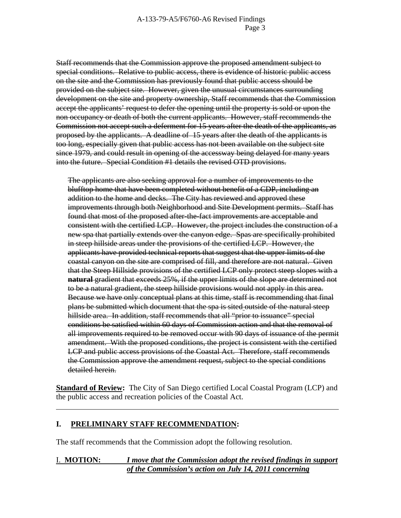#### A-133-79-A5/F6760-A6 Revised Findings Page 3

Staff recommends that the Commission approve the proposed amendment subject to special conditions. Relative to public access, there is evidence of historic public access on the site and the Commission has previously found that public access should be provided on the subject site. However, given the unusual circumstances surrounding development on the site and property ownership, Staff recommends that the Commission accept the applicants' request to defer the opening until the property is sold or upon the non occupancy or death of both the current applicants. However, staff recommends the Commission not accept such a deferment for 15 years after the death of the applicants, as proposed by the applicants. A deadline of 15 years after the death of the applicants is too long, especially given that public access has not been available on the subject site since 1979, and could result in opening of the accessway being delayed for many years into the future. Special Condition #1 details the revised OTD provisions.

The applicants are also seeking approval for a number of improvements to the blufftop home that have been completed without benefit of a CDP, including an addition to the home and decks. The City has reviewed and approved these improvements through both Neighborhood and Site Development permits. Staff has found that most of the proposed after-the-fact improvements are acceptable and consistent with the certified LCP. However, the project includes the construction of a new spa that partially extends over the canyon edge. Spas are specifically prohibited in steep hillside areas under the provisions of the certified LCP. However, the applicants have provided technical reports that suggest that the upper limits of the coastal canyon on the site are comprised of fill, and therefore are not natural. Given that the Steep Hillside provisions of the certified LCP only protect steep slopes with a **natural** gradient that exceeds 25%, if the upper limits of the slope are determined not to be a natural gradient, the steep hillside provisions would not apply in this area. Because we have only conceptual plans at this time, staff is recommending that final plans be submitted which document that the spa is sited outside of the natural steep hillside area. In addition, staff recommends that all "prior to issuance" special conditions be satisfied within 60 days of Commission action and that the removal of all improvements required to be removed occur with 90 days of issuance of the permit amendment. With the proposed conditions, the project is consistent with the certified LCP and public access provisions of the Coastal Act. Therefore, staff recommends the Commission approve the amendment request, subject to the special conditions detailed herein.

**Standard of Review:** The City of San Diego certified Local Coastal Program (LCP) and the public access and recreation policies of the Coastal Act.

## **I. PRELIMINARY STAFF RECOMMENDATION:**

 $\overline{a}$ 

The staff recommends that the Commission adopt the following resolution.

I. **MOTION:** *I move that the Commission adopt the revised findings in support of the Commission's action on July 14, 2011 concerning*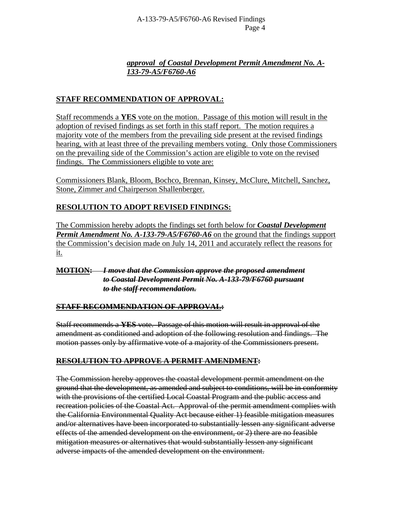## *approval of Coastal Development Permit Amendment No. A-133-79-A5/F6760-A6*

## **STAFF RECOMMENDATION OF APPROVAL:**

Staff recommends a **YES** vote on the motion. Passage of this motion will result in the adoption of revised findings as set forth in this staff report. The motion requires a majority vote of the members from the prevailing side present at the revised findings hearing, with at least three of the prevailing members voting. Only those Commissioners on the prevailing side of the Commission's action are eligible to vote on the revised findings. The Commissioners eligible to vote are:

Commissioners Blank, Bloom, Bochco, Brennan, Kinsey, McClure, Mitchell, Sanchez, Stone, Zimmer and Chairperson Shallenberger.

## **RESOLUTION TO ADOPT REVISED FINDINGS:**

The Commission hereby adopts the findings set forth below for *Coastal Development Permit Amendment No. A-133-79-A5/F6760-A6* on the ground that the findings support the Commission's decision made on July 14, 2011 and accurately reflect the reasons for it.

## **MOTION:** *I move that the Commission approve the proposed amendment to Coastal Development Permit No. A-133-79/F6760 pursuant to the staff recommendation.*

## **STAFF RECOMMENDATION OF APPROVAL:**

Staff recommends a **YES** vote. Passage of this motion will result in approval of the amendment as conditioned and adoption of the following resolution and findings. The motion passes only by affirmative vote of a majority of the Commissioners present.

## **RESOLUTION TO APPROVE A PERMIT AMENDMENT:**

The Commission hereby approves the coastal development permit amendment on the ground that the development, as amended and subject to conditions, will be in conformity with the provisions of the certified Local Coastal Program and the public access and recreation policies of the Coastal Act. Approval of the permit amendment complies with the California Environmental Quality Act because either 1) feasible mitigation measures and/or alternatives have been incorporated to substantially lessen any significant adverse effects of the amended development on the environment, or 2) there are no feasible mitigation measures or alternatives that would substantially lessen any significant adverse impacts of the amended development on the environment.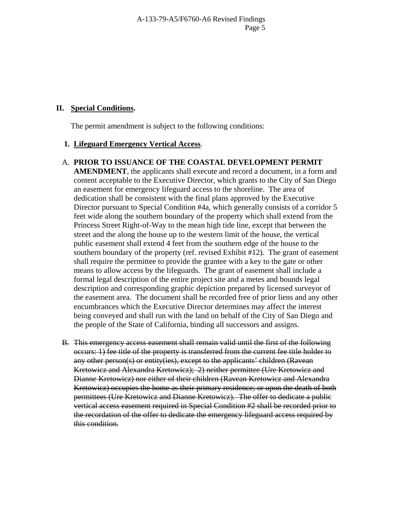#### **II. Special Conditions.**

The permit amendment is subject to the following conditions:

## **1. Lifeguard Emergency Vertical Access**.

## A. **PRIOR TO ISSUANCE OF THE COASTAL DEVELOPMENT PERMIT**

**AMENDMENT**, the applicants shall execute and record a document, in a form and content acceptable to the Executive Director, which grants to the City of San Diego an easement for emergency lifeguard access to the shoreline. The area of dedication shall be consistent with the final plans approved by the Executive Director pursuant to Special Condition #4a, which generally consists of a corridor 5 feet wide along the southern boundary of the property which shall extend from the Princess Street Right-of-Way to the mean high tide line, except that between the street and the along the house up to the western limit of the house, the vertical public easement shall extend 4 feet from the southern edge of the house to the southern boundary of the property (ref. revised Exhibit #12). The grant of easement shall require the permittee to provide the grantee with a key to the gate or other means to allow access by the lifeguards. The grant of easement shall include a formal legal description of the entire project site and a metes and bounds legal description and corresponding graphic depiction prepared by licensed surveyor of the easement area. The document shall be recorded free of prior liens and any other encumbrances which the Executive Director determines may affect the interest being conveyed and shall run with the land on behalf of the City of San Diego and the people of the State of California, binding all successors and assigns.

B. This emergency access easement shall remain valid until the first of the following occurs: 1) fee title of the property is transferred from the current fee title holder to any other person(s) or entity(ies), except to the applicants' children (Ravean Kretowicz and Alexandra Kretowicz); 2) neither permittee (Ure Kretowicz and Dianne Kretowicz) nor either of their children (Ravean Kretowicz and Alexandra Kretowicz) occupies the home as their primary residence; or upon the death of both permittees (Ure Kretowicz and Dianne Kretowicz). The offer to dedicate a public vertical access easement required in Special Condition #2 shall be recorded prior to the recordation of the offer to dedicate the emergency lifeguard access required by this condition.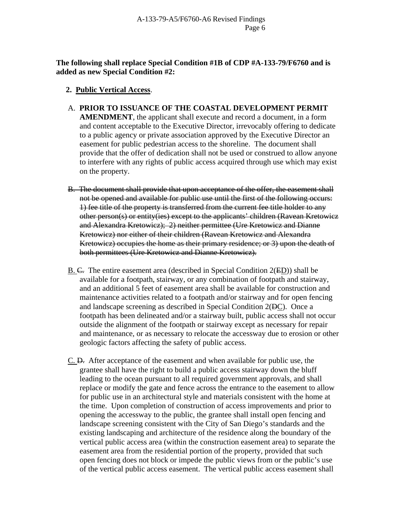**The following shall replace Special Condition #1B of CDP #A-133-79/F6760 and is added as new Special Condition #2:** 

- **2. Public Vertical Access**.
- A. **PRIOR TO ISSUANCE OF THE COASTAL DEVELOPMENT PERMIT AMENDMENT**, the applicant shall execute and record a document, in a form and content acceptable to the Executive Director, irrevocably offering to dedicate to a public agency or private association approved by the Executive Director an easement for public pedestrian access to the shoreline. The document shall provide that the offer of dedication shall not be used or construed to allow anyone to interfere with any rights of public access acquired through use which may exist on the property.
- B. The document shall provide that upon acceptance of the offer, the easement shall not be opened and available for public use until the first of the following occurs: 1) fee title of the property is transferred from the current fee title holder to any other person(s) or entity(ies) except to the applicants' children (Ravean Kretowicz and Alexandra Kretowicz); 2) neither permittee (Ure Kretowicz and Dianne Kretowicz) nor either of their children (Ravean Kretowicz and Alexandra Kretowicz) occupies the home as their primary residence; or 3) upon the death of both permittees (Ure Kretowicz and Dianne Kretowicz).
- B. C. The entire easement area (described in Special Condition 2(ED)) shall be available for a footpath, stairway, or any combination of footpath and stairway, and an additional 5 feet of easement area shall be available for construction and maintenance activities related to a footpath and/or stairway and for open fencing and landscape screening as described in Special Condition 2(DC). Once a footpath has been delineated and/or a stairway built, public access shall not occur outside the alignment of the footpath or stairway except as necessary for repair and maintenance, or as necessary to relocate the accessway due to erosion or other geologic factors affecting the safety of public access.
- C. D. After acceptance of the easement and when available for public use, the grantee shall have the right to build a public access stairway down the bluff leading to the ocean pursuant to all required government approvals, and shall replace or modify the gate and fence across the entrance to the easement to allow for public use in an architectural style and materials consistent with the home at the time. Upon completion of construction of access improvements and prior to opening the accessway to the public, the grantee shall install open fencing and landscape screening consistent with the City of San Diego's standards and the existing landscaping and architecture of the residence along the boundary of the vertical public access area (within the construction easement area) to separate the easement area from the residential portion of the property, provided that such open fencing does not block or impede the public views from or the public's use of the vertical public access easement. The vertical public access easement shall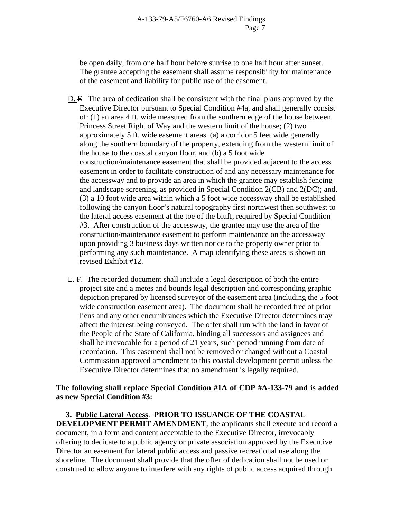be open daily, from one half hour before sunrise to one half hour after sunset. The grantee accepting the easement shall assume responsibility for maintenance of the easement and liability for public use of the easement.

- D. E The area of dedication shall be consistent with the final plans approved by the Executive Director pursuant to Special Condition #4a, and shall generally consist of: (1) an area 4 ft. wide measured from the southern edge of the house between Princess Street Right of Way and the western limit of the house; (2) two approximately 5 ft. wide easement areas. (a) a corridor 5 feet wide generally along the southern boundary of the property, extending from the western limit of the house to the coastal canyon floor, and (b) a 5 foot wide construction/maintenance easement that shall be provided adjacent to the access easement in order to facilitate construction of and any necessary maintenance for the accessway and to provide an area in which the grantee may establish fencing and landscape screening, as provided in Special Condition 2(CB) and 2(DC); and, (3) a 10 foot wide area within which a 5 foot wide accessway shall be established following the canyon floor's natural topography first northwest then southwest to the lateral access easement at the toe of the bluff, required by Special Condition #3. After construction of the accessway, the grantee may use the area of the construction/maintenance easement to perform maintenance on the accessway upon providing 3 business days written notice to the property owner prior to performing any such maintenance. A map identifying these areas is shown on revised Exhibit #12.
- E. F. The recorded document shall include a legal description of both the entire project site and a metes and bounds legal description and corresponding graphic depiction prepared by licensed surveyor of the easement area (including the 5 foot wide construction easement area). The document shall be recorded free of prior liens and any other encumbrances which the Executive Director determines may affect the interest being conveyed. The offer shall run with the land in favor of the People of the State of California, binding all successors and assignees and shall be irrevocable for a period of 21 years, such period running from date of recordation. This easement shall not be removed or changed without a Coastal Commission approved amendment to this coastal development permit unless the Executive Director determines that no amendment is legally required.

**The following shall replace Special Condition #1A of CDP #A-133-79 and is added as new Special Condition #3:** 

 **3. Public Lateral Access**. **PRIOR TO ISSUANCE OF THE COASTAL DEVELOPMENT PERMIT AMENDMENT**, the applicants shall execute and record a document, in a form and content acceptable to the Executive Director, irrevocably offering to dedicate to a public agency or private association approved by the Executive Director an easement for lateral public access and passive recreational use along the shoreline. The document shall provide that the offer of dedication shall not be used or construed to allow anyone to interfere with any rights of public access acquired through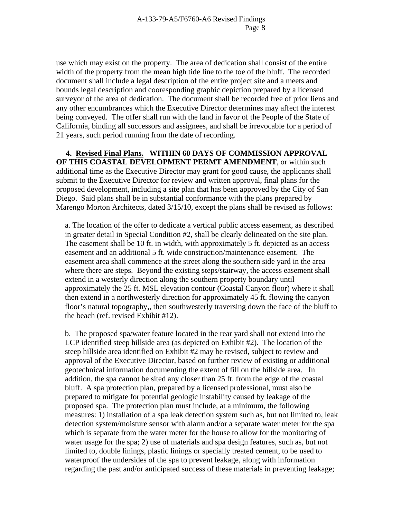use which may exist on the property. The area of dedication shall consist of the entire width of the property from the mean high tide line to the toe of the bluff. The recorded document shall include a legal description of the entire project site and a meets and bounds legal description and cooresponding graphic depiction prepared by a licensed surveyor of the area of dedication. The document shall be recorded free of prior liens and any other encumbrances which the Executive Director determines may affect the interest being conveyed. The offer shall run with the land in favor of the People of the State of California, binding all successors and assignees, and shall be irrevocable for a period of 21 years, such period running from the date of recording.

 **4. Revised Final Plans. WITHIN 60 DAYS OF COMMISSION APPROVAL OF THIS COASTAL DEVELOPMENT PERMT AMENDMENT**, or within such additional time as the Executive Director may grant for good cause, the applicants shall submit to the Executive Director for review and written approval, final plans for the proposed development, including a site plan that has been approved by the City of San Diego. Said plans shall be in substantial conformance with the plans prepared by Marengo Morton Architects, dated 3/15/10, except the plans shall be revised as follows:

a. The location of the offer to dedicate a vertical public access easement, as described in greater detail in Special Condition #2, shall be clearly delineated on the site plan. The easement shall be 10 ft. in width, with approximately 5 ft. depicted as an access easement and an additional 5 ft. wide construction/maintenance easement. The easement area shall commence at the street along the southern side yard in the area where there are steps. Beyond the existing steps/stairway, the access easement shall extend in a westerly direction along the southern property boundary until approximately the 25 ft. MSL elevation contour (Coastal Canyon floor) where it shall then extend in a northwesterly direction for approximately 45 ft. flowing the canyon floor's natural topography,, then southwesterly traversing down the face of the bluff to the beach (ref. revised Exhibit #12).

b. The proposed spa/water feature located in the rear yard shall not extend into the LCP identified steep hillside area (as depicted on Exhibit #2). The location of the steep hillside area identified on Exhibit #2 may be revised, subject to review and approval of the Executive Director, based on further review of existing or additional geotechnical information documenting the extent of fill on the hillside area. In addition, the spa cannot be sited any closer than 25 ft. from the edge of the coastal bluff. A spa protection plan, prepared by a licensed professional, must also be prepared to mitigate for potential geologic instability caused by leakage of the proposed spa. The protection plan must include, at a minimum, the following measures: 1) installation of a spa leak detection system such as, but not limited to, leak detection system/moisture sensor with alarm and/or a separate water meter for the spa which is separate from the water meter for the house to allow for the monitoring of water usage for the spa; 2) use of materials and spa design features, such as, but not limited to, double linings, plastic linings or specially treated cement, to be used to waterproof the undersides of the spa to prevent leakage, along with information regarding the past and/or anticipated success of these materials in preventing leakage;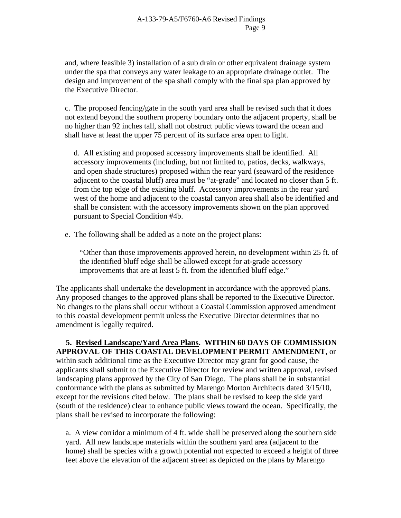and, where feasible 3) installation of a sub drain or other equivalent drainage system under the spa that conveys any water leakage to an appropriate drainage outlet. The design and improvement of the spa shall comply with the final spa plan approved by the Executive Director.

c. The proposed fencing/gate in the south yard area shall be revised such that it does not extend beyond the southern property boundary onto the adjacent property, shall be no higher than 92 inches tall, shall not obstruct public views toward the ocean and shall have at least the upper 75 percent of its surface area open to light.

d. All existing and proposed accessory improvements shall be identified. All accessory improvements (including, but not limited to, patios, decks, walkways, and open shade structures) proposed within the rear yard (seaward of the residence adjacent to the coastal bluff) area must be "at-grade" and located no closer than 5 ft. from the top edge of the existing bluff. Accessory improvements in the rear yard west of the home and adjacent to the coastal canyon area shall also be identified and shall be consistent with the accessory improvements shown on the plan approved pursuant to Special Condition #4b.

e. The following shall be added as a note on the project plans:

"Other than those improvements approved herein, no development within 25 ft. of the identified bluff edge shall be allowed except for at-grade accessory improvements that are at least 5 ft. from the identified bluff edge."

The applicants shall undertake the development in accordance with the approved plans. Any proposed changes to the approved plans shall be reported to the Executive Director. No changes to the plans shall occur without a Coastal Commission approved amendment to this coastal development permit unless the Executive Director determines that no amendment is legally required.

 **5. Revised Landscape/Yard Area Plans. WITHIN 60 DAYS OF COMMISSION APPROVAL OF THIS COASTAL DEVELOPMENT PERMIT AMENDMENT**, or within such additional time as the Executive Director may grant for good cause, the applicants shall submit to the Executive Director for review and written approval, revised landscaping plans approved by the City of San Diego. The plans shall be in substantial conformance with the plans as submitted by Marengo Morton Architects dated 3/15/10, except for the revisions cited below. The plans shall be revised to keep the side yard (south of the residence) clear to enhance public views toward the ocean. Specifically, the plans shall be revised to incorporate the following:

a. A view corridor a minimum of 4 ft. wide shall be preserved along the southern side yard. All new landscape materials within the southern yard area (adjacent to the home) shall be species with a growth potential not expected to exceed a height of three feet above the elevation of the adjacent street as depicted on the plans by Marengo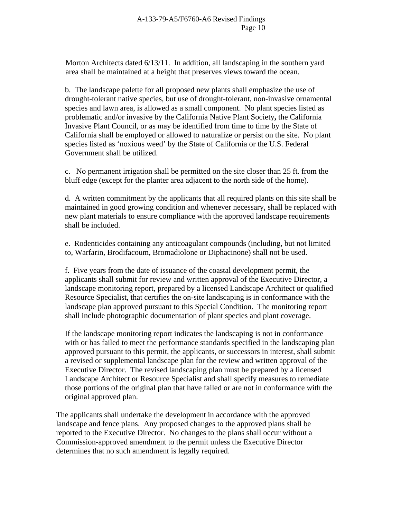Morton Architects dated 6/13/11. In addition, all landscaping in the southern yard area shall be maintained at a height that preserves views toward the ocean.

b. The landscape palette for all proposed new plants shall emphasize the use of drought-tolerant native species, but use of drought-tolerant, non-invasive ornamental species and lawn area, is allowed as a small component. No plant species listed as problematic and/or invasive by the California Native Plant Society**,** the California Invasive Plant Council, or as may be identified from time to time by the State of California shall be employed or allowed to naturalize or persist on the site. No plant species listed as 'noxious weed' by the State of California or the U.S. Federal Government shall be utilized.

c. No permanent irrigation shall be permitted on the site closer than 25 ft. from the bluff edge (except for the planter area adjacent to the north side of the home).

d. A written commitment by the applicants that all required plants on this site shall be maintained in good growing condition and whenever necessary, shall be replaced with new plant materials to ensure compliance with the approved landscape requirements shall be included.

e. Rodenticides containing any anticoagulant compounds (including, but not limited to, Warfarin, Brodifacoum, Bromadiolone or Diphacinone) shall not be used.

f. Five years from the date of issuance of the coastal development permit, the applicants shall submit for review and written approval of the Executive Director, a landscape monitoring report, prepared by a licensed Landscape Architect or qualified Resource Specialist, that certifies the on-site landscaping is in conformance with the landscape plan approved pursuant to this Special Condition. The monitoring report shall include photographic documentation of plant species and plant coverage.

If the landscape monitoring report indicates the landscaping is not in conformance with or has failed to meet the performance standards specified in the landscaping plan approved pursuant to this permit, the applicants, or successors in interest, shall submit a revised or supplemental landscape plan for the review and written approval of the Executive Director. The revised landscaping plan must be prepared by a licensed Landscape Architect or Resource Specialist and shall specify measures to remediate those portions of the original plan that have failed or are not in conformance with the original approved plan.

The applicants shall undertake the development in accordance with the approved landscape and fence plans. Any proposed changes to the approved plans shall be reported to the Executive Director. No changes to the plans shall occur without a Commission-approved amendment to the permit unless the Executive Director determines that no such amendment is legally required.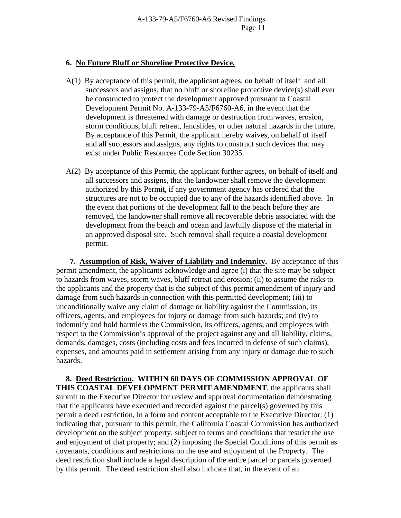#### **6. No Future Bluff or Shoreline Protective Device.**

- A(1) By acceptance of this permit, the applicant agrees, on behalf of itself and all successors and assigns, that no bluff or shoreline protective device(s) shall ever be constructed to protect the development approved pursuant to Coastal Development Permit No. A-133-79-A5/F6760-A6, in the event that the development is threatened with damage or destruction from waves, erosion, storm conditions, bluff retreat, landslides, or other natural hazards in the future. By acceptance of this Permit, the applicant hereby waives, on behalf of itself and all successors and assigns, any rights to construct such devices that may exist under Public Resources Code Section 30235.
- A(2)By acceptance of this Permit, the applicant further agrees, on behalf of itself and all successors and assigns, that the landowner shall remove the development authorized by this Permit, if any government agency has ordered that the structures are not to be occupied due to any of the hazards identified above. In the event that portions of the development fall to the beach before they are removed, the landowner shall remove all recoverable debris associated with the development from the beach and ocean and lawfully dispose of the material in an approved disposal site. Such removal shall require a coastal development permit.

 **7. Assumption of Risk, Waiver of Liability and Indemnity.** By acceptance of this permit amendment, the applicants acknowledge and agree (i) that the site may be subject to hazards from waves, storm waves, bluff retreat and erosion; (ii) to assume the risks to the applicants and the property that is the subject of this permit amendment of injury and damage from such hazards in connection with this permitted development; (iii) to unconditionally waive any claim of damage or liability against the Commission, its officers, agents, and employees for injury or damage from such hazards; and (iv) to indemnify and hold harmless the Commission, its officers, agents, and employees with respect to the Commission's approval of the project against any and all liability, claims, demands, damages, costs (including costs and fees incurred in defense of such claims), expenses, and amounts paid in settlement arising from any injury or damage due to such hazards.

 **8. Deed Restriction. WITHIN 60 DAYS OF COMMISSION APPROVAL OF THIS COASTAL DEVELOPMENT PERMIT AMENDMENT**, the applicants shall submit to the Executive Director for review and approval documentation demonstrating that the applicants have executed and recorded against the parcel(s) governed by this permit a deed restriction, in a form and content acceptable to the Executive Director: (1) indicating that, pursuant to this permit, the California Coastal Commission has authorized development on the subject property, subject to terms and conditions that restrict the use and enjoyment of that property; and (2) imposing the Special Conditions of this permit as covenants, conditions and restrictions on the use and enjoyment of the Property. The deed restriction shall include a legal description of the entire parcel or parcels governed by this permit. The deed restriction shall also indicate that, in the event of an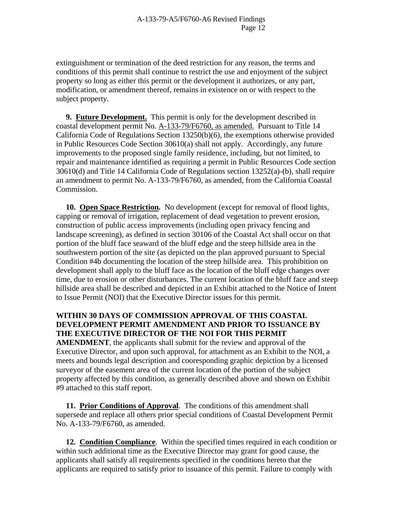extinguishment or termination of the deed restriction for any reason, the terms and conditions of this permit shall continue to restrict the use and enjoyment of the subject property so long as either this permit or the development it authorizes, or any part, modification, or amendment thereof, remains in existence on or with respect to the subject property.

 **9. Future Development.** This permit is only for the development described in coastal development permit No. A-133-79/F6760, as amended. Pursuant to Title 14 California Code of Regulations Section 13250(b)(6), the exemptions otherwise provided in Public Resources Code Section 30610(a) shall not apply. Accordingly, any future improvements to the proposed single family residence, including, but not limited, to repair and maintenance identified as requiring a permit in Public Resources Code section 30610(d) and Title 14 California Code of Regulations section 13252(a)-(b), shall require an amendment to permit No. A-133-79/F6760, as amended, from the California Coastal Commission.

 **10. Open Space Restriction.** No development (except for removal of flood lights, capping or removal of irrigation, replacement of dead vegetation to prevent erosion, construction of public access improvements (including open privacy fencing and landscape screening), as defined in section 30106 of the Coastal Act shall occur on that portion of the bluff face seaward of the bluff edge and the steep hillside area in the southwestern portion of the site (as depicted on the plan approved pursuant to Special Condition #4b documenting the location of the steep hillside area. This prohibition on development shall apply to the bluff face as the location of the bluff edge changes over time, due to erosion or other disturbances. The current location of the bluff face and steep hillside area shall be described and depicted in an Exhibit attached to the Notice of Intent to Issue Permit (NOI) that the Executive Director issues for this permit.

## **WITHIN 30 DAYS OF COMMISSION APPROVAL OF THIS COASTAL DEVELOPMENT PERMIT AMENDMENT AND PRIOR TO ISSUANCE BY THE EXECUTIVE DIRECTOR OF THE NOI FOR THIS PERMIT**

**AMENDMENT**, the applicants shall submit for the review and approval of the Executive Director, and upon such approval, for attachment as an Exhibit to the NOI, a meets and bounds legal description and cooresponding graphic depiction by a licensed surveyor of the easement area of the current location of the portion of the subject property affected by this condition, as generally described above and shown on Exhibit #9 attached to this staff report.

 **11. Prior Conditions of Approval**. The conditions of this amendment shall supersede and replace all others prior special conditions of Coastal Development Permit No. A-133-79/F6760, as amended.

 **12. Condition Compliance**. Within the specified times required in each condition or within such additional time as the Executive Director may grant for good cause, the applicants shall satisfy all requirements specified in the conditions hereto that the applicants are required to satisfy prior to issuance of this permit. Failure to comply with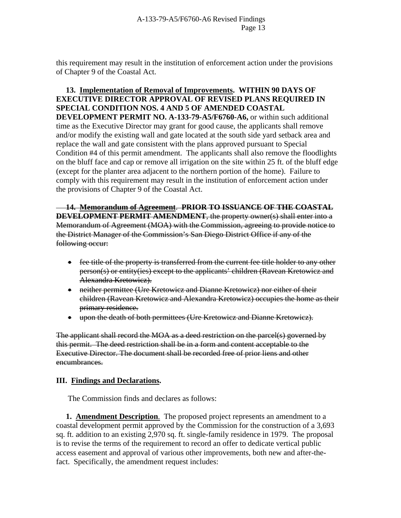this requirement may result in the institution of enforcement action under the provisions of Chapter 9 of the Coastal Act.

## **13. Implementation of Removal of Improvements. WITHIN 90 DAYS OF EXECUTIVE DIRECTOR APPROVAL OF REVISED PLANS REQUIRED IN SPECIAL CONDITION NOS. 4 AND 5 OF AMENDED COASTAL DEVELOPMENT PERMIT NO. A-133-79-A5/F6760-A6,** or within such additional time as the Executive Director may grant for good cause, the applicants shall remove and/or modify the existing wall and gate located at the south side yard setback area and replace the wall and gate consistent with the plans approved pursuant to Special Condition #4 of this permit amendment. The applicants shall also remove the floodlights on the bluff face and cap or remove all irrigation on the site within 25 ft. of the bluff edge (except for the planter area adjacent to the northern portion of the home). Failure to comply with this requirement may result in the institution of enforcement action under the provisions of Chapter 9 of the Coastal Act.

 **14. Memorandum of Agreement**. **PRIOR TO ISSUANCE OF THE COASTAL DEVELOPMENT PERMIT AMENDMENT**, the property owner(s) shall enter into a Memorandum of Agreement (MOA) with the Commission, agreeing to provide notice to the District Manager of the Commission's San Diego District Office if any of the following occur:

- fee title of the property is transferred from the current fee title holder to any other person(s) or entity(ies) except to the applicants' children (Ravean Kretowicz and Alexandra Kretowicz).
- neither permittee (Ure Kretowicz and Dianne Kretowicz) nor either of their children (Ravean Kretowicz and Alexandra Kretowicz) occupies the home as their primary residence.
- upon the death of both permittees (Ure Kretowicz and Dianne Kretowicz).

The applicant shall record the MOA as a deed restriction on the parcel(s) governed by this permit. The deed restriction shall be in a form and content acceptable to the Executive Director. The document shall be recorded free of prior liens and other encumbrances.

## **III. Findings and Declarations.**

The Commission finds and declares as follows:

 **1. Amendment Description**. The proposed project represents an amendment to a coastal development permit approved by the Commission for the construction of a 3,693 sq. ft. addition to an existing 2,970 sq. ft. single-family residence in 1979. The proposal is to revise the terms of the requirement to record an offer to dedicate vertical public access easement and approval of various other improvements, both new and after-thefact. Specifically, the amendment request includes: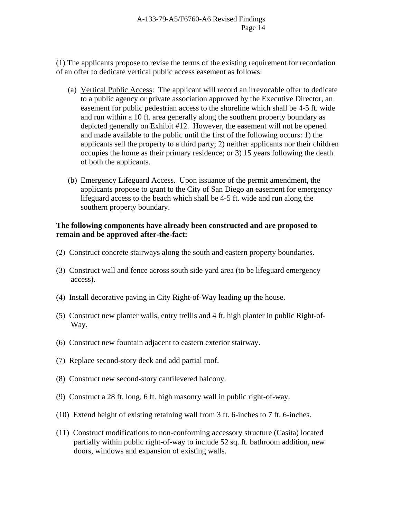(1) The applicants propose to revise the terms of the existing requirement for recordation of an offer to dedicate vertical public access easement as follows:

- (a) Vertical Public Access: The applicant will record an irrevocable offer to dedicate to a public agency or private association approved by the Executive Director, an easement for public pedestrian access to the shoreline which shall be 4-5 ft. wide and run within a 10 ft. area generally along the southern property boundary as depicted generally on Exhibit #12. However, the easement will not be opened and made available to the public until the first of the following occurs: 1) the applicants sell the property to a third party; 2) neither applicants nor their children occupies the home as their primary residence; or 3) 15 years following the death of both the applicants.
- (b) Emergency Lifeguard Access. Upon issuance of the permit amendment, the applicants propose to grant to the City of San Diego an easement for emergency lifeguard access to the beach which shall be 4-5 ft. wide and run along the southern property boundary.

#### **The following components have already been constructed and are proposed to remain and be approved after-the-fact:**

- (2) Construct concrete stairways along the south and eastern property boundaries.
- (3) Construct wall and fence across south side yard area (to be lifeguard emergency access).
- (4) Install decorative paving in City Right-of-Way leading up the house.
- (5) Construct new planter walls, entry trellis and 4 ft. high planter in public Right-of-Way.
- (6) Construct new fountain adjacent to eastern exterior stairway.
- (7) Replace second-story deck and add partial roof.
- (8) Construct new second-story cantilevered balcony.
- (9) Construct a 28 ft. long, 6 ft. high masonry wall in public right-of-way.
- (10) Extend height of existing retaining wall from 3 ft. 6-inches to 7 ft. 6-inches.
- (11) Construct modifications to non-conforming accessory structure (Casita) located partially within public right-of-way to include 52 sq. ft. bathroom addition, new doors, windows and expansion of existing walls.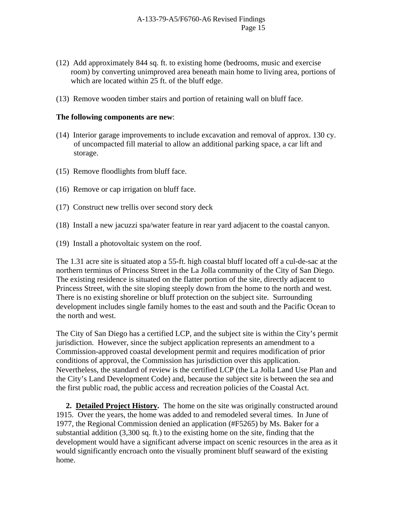- (12) Add approximately 844 sq. ft. to existing home (bedrooms, music and exercise room) by converting unimproved area beneath main home to living area, portions of which are located within 25 ft. of the bluff edge.
- (13) Remove wooden timber stairs and portion of retaining wall on bluff face.

#### **The following components are new**:

- (14) Interior garage improvements to include excavation and removal of approx. 130 cy. of uncompacted fill material to allow an additional parking space, a car lift and storage.
- (15) Remove floodlights from bluff face.
- (16) Remove or cap irrigation on bluff face.
- (17) Construct new trellis over second story deck
- (18) Install a new jacuzzi spa/water feature in rear yard adjacent to the coastal canyon.
- (19) Install a photovoltaic system on the roof.

The 1.31 acre site is situated atop a 55-ft. high coastal bluff located off a cul-de-sac at the northern terminus of Princess Street in the La Jolla community of the City of San Diego. The existing residence is situated on the flatter portion of the site, directly adjacent to Princess Street, with the site sloping steeply down from the home to the north and west. There is no existing shoreline or bluff protection on the subject site. Surrounding development includes single family homes to the east and south and the Pacific Ocean to the north and west.

The City of San Diego has a certified LCP, and the subject site is within the City's permit jurisdiction. However, since the subject application represents an amendment to a Commission-approved coastal development permit and requires modification of prior conditions of approval, the Commission has jurisdiction over this application. Nevertheless, the standard of review is the certified LCP (the La Jolla Land Use Plan and the City's Land Development Code) and, because the subject site is between the sea and the first public road, the public access and recreation policies of the Coastal Act.

 **2. Detailed Project History.** The home on the site was originally constructed around 1915. Over the years, the home was added to and remodeled several times. In June of 1977, the Regional Commission denied an application (#F5265) by Ms. Baker for a substantial addition (3,300 sq. ft.) to the existing home on the site, finding that the development would have a significant adverse impact on scenic resources in the area as it would significantly encroach onto the visually prominent bluff seaward of the existing home.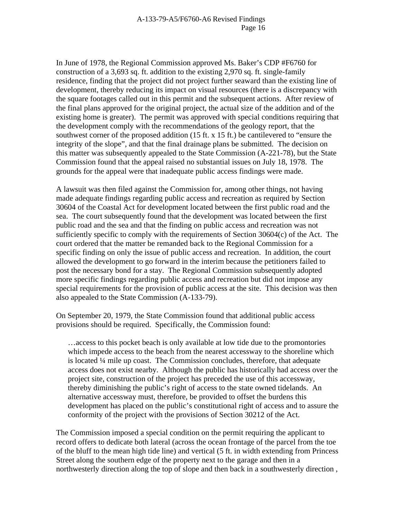In June of 1978, the Regional Commission approved Ms. Baker's CDP #F6760 for construction of a 3,693 sq. ft. addition to the existing 2,970 sq. ft. single-family residence, finding that the project did not project further seaward than the existing line of development, thereby reducing its impact on visual resources (there is a discrepancy with the square footages called out in this permit and the subsequent actions. After review of the final plans approved for the original project, the actual size of the addition and of the existing home is greater). The permit was approved with special conditions requiring that the development comply with the recommendations of the geology report, that the southwest corner of the proposed addition (15 ft. x 15 ft.) be cantilevered to "ensure the integrity of the slope", and that the final drainage plans be submitted. The decision on this matter was subsequently appealed to the State Commission (A-221-78), but the State Commission found that the appeal raised no substantial issues on July 18, 1978. The grounds for the appeal were that inadequate public access findings were made.

A lawsuit was then filed against the Commission for, among other things, not having made adequate findings regarding public access and recreation as required by Section 30604 of the Coastal Act for development located between the first public road and the sea. The court subsequently found that the development was located between the first public road and the sea and that the finding on public access and recreation was not sufficiently specific to comply with the requirements of Section 30604(c) of the Act. The court ordered that the matter be remanded back to the Regional Commission for a specific finding on only the issue of public access and recreation. In addition, the court allowed the development to go forward in the interim because the petitioners failed to post the necessary bond for a stay. The Regional Commission subsequently adopted more specific findings regarding public access and recreation but did not impose any special requirements for the provision of public access at the site. This decision was then also appealed to the State Commission (A-133-79).

On September 20, 1979, the State Commission found that additional public access provisions should be required. Specifically, the Commission found:

…access to this pocket beach is only available at low tide due to the promontories which impede access to the beach from the nearest accessway to the shoreline which is located ¼ mile up coast. The Commission concludes, therefore, that adequate access does not exist nearby. Although the public has historically had access over the project site, construction of the project has preceded the use of this accessway, thereby diminishing the public's right of access to the state owned tidelands. An alternative accessway must, therefore, be provided to offset the burdens this development has placed on the public's constitutional right of access and to assure the conformity of the project with the provisions of Section 30212 of the Act.

The Commission imposed a special condition on the permit requiring the applicant to record offers to dedicate both lateral (across the ocean frontage of the parcel from the toe of the bluff to the mean high tide line) and vertical (5 ft. in width extending from Princess Street along the southern edge of the property next to the garage and then in a northwesterly direction along the top of slope and then back in a southwesterly direction ,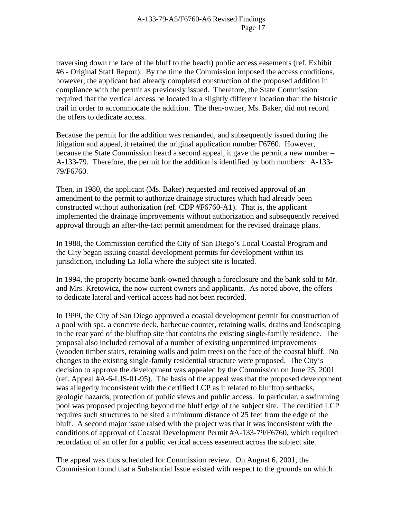traversing down the face of the bluff to the beach) public access easements (ref. Exhibit #6 - Original Staff Report). By the time the Commission imposed the access conditions, however, the applicant had already completed construction of the proposed addition in compliance with the permit as previously issued. Therefore, the State Commission required that the vertical access be located in a slightly different location than the historic trail in order to accommodate the addition. The then-owner, Ms. Baker, did not record the offers to dedicate access.

Because the permit for the addition was remanded, and subsequently issued during the litigation and appeal, it retained the original application number F6760. However, because the State Commission heard a second appeal, it gave the permit a new number – A-133-79. Therefore, the permit for the addition is identified by both numbers: A-133- 79/F6760.

Then, in 1980, the applicant (Ms. Baker) requested and received approval of an amendment to the permit to authorize drainage structures which had already been constructed without authorization (ref. CDP #F6760-A1). That is, the applicant implemented the drainage improvements without authorization and subsequently received approval through an after-the-fact permit amendment for the revised drainage plans.

In 1988, the Commission certified the City of San Diego's Local Coastal Program and the City began issuing coastal development permits for development within its jurisdiction, including La Jolla where the subject site is located.

In 1994, the property became bank-owned through a foreclosure and the bank sold to Mr. and Mrs. Kretowicz, the now current owners and applicants. As noted above, the offers to dedicate lateral and vertical access had not been recorded.

In 1999, the City of San Diego approved a coastal development permit for construction of a pool with spa, a concrete deck, barbecue counter, retaining walls, drains and landscaping in the rear yard of the blufftop site that contains the existing single-family residence. The proposal also included removal of a number of existing unpermitted improvements (wooden timber stairs, retaining walls and palm trees) on the face of the coastal bluff. No changes to the existing single-family residential structure were proposed. The City's decision to approve the development was appealed by the Commission on June 25, 2001 (ref. Appeal #A-6-LJS-01-95). The basis of the appeal was that the proposed development was allegedly inconsistent with the certified LCP as it related to blufftop setbacks, geologic hazards, protection of public views and public access. In particular, a swimming pool was proposed projecting beyond the bluff edge of the subject site. The certified LCP requires such structures to be sited a minimum distance of 25 feet from the edge of the bluff. A second major issue raised with the project was that it was inconsistent with the conditions of approval of Coastal Development Permit #A-133-79/F6760, which required recordation of an offer for a public vertical access easement across the subject site.

The appeal was thus scheduled for Commission review. On August 6, 2001, the Commission found that a Substantial Issue existed with respect to the grounds on which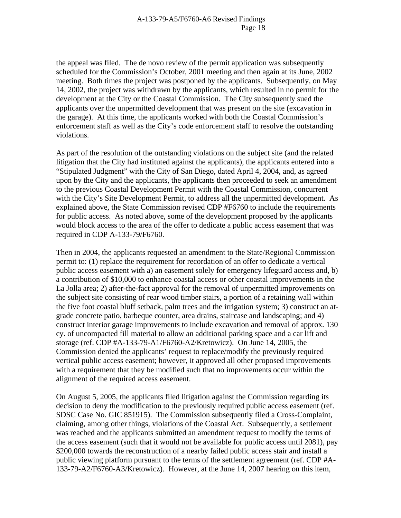the appeal was filed. The de novo review of the permit application was subsequently scheduled for the Commission's October, 2001 meeting and then again at its June, 2002 meeting. Both times the project was postponed by the applicants. Subsequently, on May 14, 2002, the project was withdrawn by the applicants, which resulted in no permit for the development at the City or the Coastal Commission. The City subsequently sued the applicants over the unpermitted development that was present on the site (excavation in the garage). At this time, the applicants worked with both the Coastal Commission's enforcement staff as well as the City's code enforcement staff to resolve the outstanding violations.

As part of the resolution of the outstanding violations on the subject site (and the related litigation that the City had instituted against the applicants), the applicants entered into a "Stipulated Judgment" with the City of San Diego, dated April 4, 2004, and, as agreed upon by the City and the applicants, the applicants then proceeded to seek an amendment to the previous Coastal Development Permit with the Coastal Commission, concurrent with the City's Site Development Permit, to address all the unpermitted development. As explained above, the State Commission revised CDP #F6760 to include the requirements for public access. As noted above, some of the development proposed by the applicants would block access to the area of the offer to dedicate a public access easement that was required in CDP A-133-79/F6760.

Then in 2004, the applicants requested an amendment to the State/Regional Commission permit to: (1) replace the requirement for recordation of an offer to dedicate a vertical public access easement with a) an easement solely for emergency lifeguard access and, b) a contribution of \$10,000 to enhance coastal access or other coastal improvements in the La Jolla area; 2) after-the-fact approval for the removal of unpermitted improvements on the subject site consisting of rear wood timber stairs, a portion of a retaining wall within the five foot coastal bluff setback, palm trees and the irrigation system; 3) construct an atgrade concrete patio, barbeque counter, area drains, staircase and landscaping; and 4) construct interior garage improvements to include excavation and removal of approx. 130 cy. of uncompacted fill material to allow an additional parking space and a car lift and storage (ref. CDP #A-133-79-A1/F6760-A2/Kretowicz). On June 14, 2005, the Commission denied the applicants' request to replace/modify the previously required vertical public access easement; however, it approved all other proposed improvements with a requirement that they be modified such that no improvements occur within the alignment of the required access easement.

On August 5, 2005, the applicants filed litigation against the Commission regarding its decision to deny the modification to the previously required public access easement (ref. SDSC Case No. GIC 851915). The Commission subsequently filed a Cross-Complaint, claiming, among other things, violations of the Coastal Act. Subsequently, a settlement was reached and the applicants submitted an amendment request to modify the terms of the access easement (such that it would not be available for public access until 2081), pay \$200,000 towards the reconstruction of a nearby failed public access stair and install a public viewing platform pursuant to the terms of the settlement agreement (ref. CDP #A-133-79-A2/F6760-A3/Kretowicz). However, at the June 14, 2007 hearing on this item,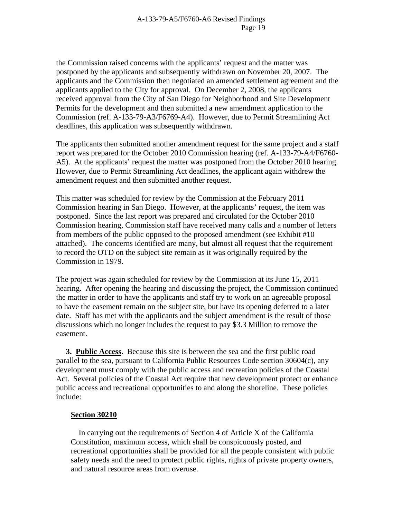the Commission raised concerns with the applicants' request and the matter was postponed by the applicants and subsequently withdrawn on November 20, 2007. The applicants and the Commission then negotiated an amended settlement agreement and the applicants applied to the City for approval. On December 2, 2008, the applicants received approval from the City of San Diego for Neighborhood and Site Development Permits for the development and then submitted a new amendment application to the Commission (ref. A-133-79-A3/F6769-A4). However, due to Permit Streamlining Act deadlines, this application was subsequently withdrawn.

The applicants then submitted another amendment request for the same project and a staff report was prepared for the October 2010 Commission hearing (ref. A-133-79-A4/F6760- A5). At the applicants' request the matter was postponed from the October 2010 hearing. However, due to Permit Streamlining Act deadlines, the applicant again withdrew the amendment request and then submitted another request.

This matter was scheduled for review by the Commission at the February 2011 Commission hearing in San Diego. However, at the applicants' request, the item was postponed. Since the last report was prepared and circulated for the October 2010 Commission hearing, Commission staff have received many calls and a number of letters from members of the public opposed to the proposed amendment (see Exhibit #10 attached). The concerns identified are many, but almost all request that the requirement to record the OTD on the subject site remain as it was originally required by the Commission in 1979.

The project was again scheduled for review by the Commission at its June 15, 2011 hearing. After opening the hearing and discussing the project, the Commission continued the matter in order to have the applicants and staff try to work on an agreeable proposal to have the easement remain on the subject site, but have its opening deferred to a later date. Staff has met with the applicants and the subject amendment is the result of those discussions which no longer includes the request to pay \$3.3 Million to remove the easement.

 **3. Public Access.** Because this site is between the sea and the first public road parallel to the sea, pursuant to California Public Resources Code section 30604(c), any development must comply with the public access and recreation policies of the Coastal Act. Several policies of the Coastal Act require that new development protect or enhance public access and recreational opportunities to and along the shoreline. These policies include:

#### **Section 30210**

 In carrying out the requirements of Section 4 of Article X of the California Constitution, maximum access, which shall be conspicuously posted, and recreational opportunities shall be provided for all the people consistent with public safety needs and the need to protect public rights, rights of private property owners, and natural resource areas from overuse.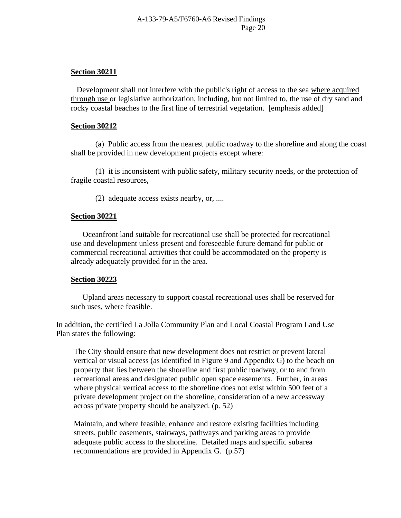#### **Section 30211**

 Development shall not interfere with the public's right of access to the sea where acquired through use or legislative authorization, including, but not limited to, the use of dry sand and rocky coastal beaches to the first line of terrestrial vegetation. [emphasis added]

#### **Section 30212**

 (a) Public access from the nearest public roadway to the shoreline and along the coast shall be provided in new development projects except where:

 (1) it is inconsistent with public safety, military security needs, or the protection of fragile coastal resources,

(2) adequate access exists nearby, or, ....

#### **Section 30221**

 Oceanfront land suitable for recreational use shall be protected for recreational use and development unless present and foreseeable future demand for public or commercial recreational activities that could be accommodated on the property is already adequately provided for in the area.

#### **Section 30223**

 Upland areas necessary to support coastal recreational uses shall be reserved for such uses, where feasible.

In addition, the certified La Jolla Community Plan and Local Coastal Program Land Use Plan states the following:

 The City should ensure that new development does not restrict or prevent lateral vertical or visual access (as identified in Figure 9 and Appendix G) to the beach on property that lies between the shoreline and first public roadway, or to and from recreational areas and designated public open space easements. Further, in areas where physical vertical access to the shoreline does not exist within 500 feet of a private development project on the shoreline, consideration of a new accessway across private property should be analyzed. (p. 52)

 Maintain, and where feasible, enhance and restore existing facilities including streets, public easements, stairways, pathways and parking areas to provide adequate public access to the shoreline. Detailed maps and specific subarea recommendations are provided in Appendix G. (p.57)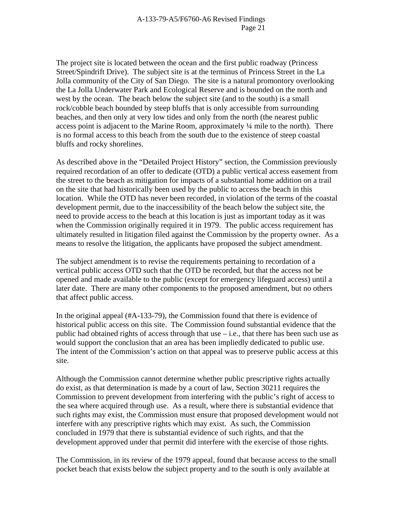The project site is located between the ocean and the first public roadway (Princess Street/Spindrift Drive). The subject site is at the terminus of Princess Street in the La Jolla community of the City of San Diego. The site is a natural promontory overlooking the La Jolla Underwater Park and Ecological Reserve and is bounded on the north and west by the ocean. The beach below the subject site (and to the south) is a small rock/cobble beach bounded by steep bluffs that is only accessible from surrounding beaches, and then only at very low tides and only from the north (the nearest public access point is adjacent to the Marine Room, approximately ¼ mile to the north). There is no formal access to this beach from the south due to the existence of steep coastal bluffs and rocky shorelines.

As described above in the "Detailed Project History" section, the Commission previously required recordation of an offer to dedicate (OTD) a public vertical access easement from the street to the beach as mitigation for impacts of a substantial home addition on a trail on the site that had historically been used by the public to access the beach in this location. While the OTD has never been recorded, in violation of the terms of the coastal development permit, due to the inaccessibility of the beach below the subject site, the need to provide access to the beach at this location is just as important today as it was when the Commission originally required it in 1979. The public access requirement has ultimately resulted in litigation filed against the Commission by the property owner. As a means to resolve the litigation, the applicants have proposed the subject amendment.

The subject amendment is to revise the requirements pertaining to recordation of a vertical public access OTD such that the OTD be recorded, but that the access not be opened and made available to the public (except for emergency lifeguard access) until a later date. There are many other components to the proposed amendment, but no others that affect public access.

In the original appeal (#A-133-79), the Commission found that there is evidence of historical public access on this site. The Commission found substantial evidence that the public had obtained rights of access through that use – i.e., that there has been such use as would support the conclusion that an area has been impliedly dedicated to public use. The intent of the Commission's action on that appeal was to preserve public access at this site.

Although the Commission cannot determine whether public prescriptive rights actually do exist, as that determination is made by a court of law, Section 30211 requires the Commission to prevent development from interfering with the public's right of access to the sea where acquired through use. As a result, where there is substantial evidence that such rights may exist, the Commission must ensure that proposed development would not interfere with any prescriptive rights which may exist. As such, the Commission concluded in 1979 that there is substantial evidence of such rights, and that the development approved under that permit did interfere with the exercise of those rights.

The Commission, in its review of the 1979 appeal, found that because access to the small pocket beach that exists below the subject property and to the south is only available at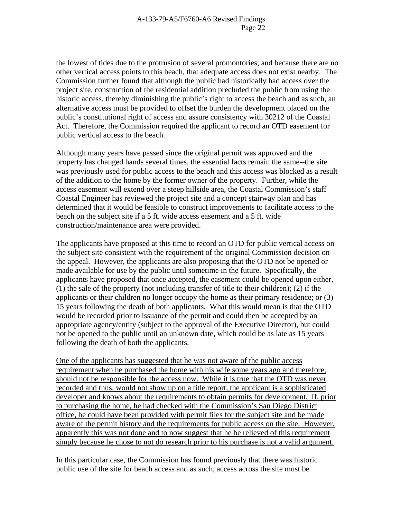the lowest of tides due to the protrusion of several promontories, and because there are no other vertical access points to this beach, that adequate access does not exist nearby. The Commission further found that although the public had historically had access over the project site, construction of the residential addition precluded the public from using the historic access, thereby diminishing the public's right to access the beach and as such, an alternative access must be provided to offset the burden the development placed on the public's constitutional right of access and assure consistency with 30212 of the Coastal Act. Therefore, the Commission required the applicant to record an OTD easement for public vertical access to the beach.

Although many years have passed since the original permit was approved and the property has changed hands several times, the essential facts remain the same--the site was previously used for public access to the beach and this access was blocked as a result of the addition to the home by the former owner of the property. Further, while the access easement will extend over a steep hillside area, the Coastal Commission's staff Coastal Engineer has reviewed the project site and a concept stairway plan and has determined that it would be feasible to construct improvements to facilitate access to the beach on the subject site if a 5 ft. wide access easement and a 5 ft. wide construction/maintenance area were provided.

The applicants have proposed at this time to record an OTD for public vertical access on the subject site consistent with the requirement of the original Commission decision on the appeal. However, the applicants are also proposing that the OTD not be opened or made available for use by the public until sometime in the future. Specifically, the applicants have proposed that once accepted, the easement could be opened upon either, (1) the sale of the property (not including transfer of title to their children); (2) if the applicants or their children no longer occupy the home as their primary residence; or (3) 15 years following the death of both applicants. What this would mean is that the OTD would be recorded prior to issuance of the permit and could then be accepted by an appropriate agency/entity (subject to the approval of the Executive Director), but could not be opened to the public until an unknown date, which could be as late as 15 years following the death of both the applicants.

One of the applicants has suggested that he was not aware of the public access requirement when he purchased the home with his wife some years ago and therefore, should not be responsible for the access now. While it is true that the OTD was never recorded and thus, would not show up on a title report, the applicant is a sophisticated developer and knows about the requirements to obtain permits for development. If, prior to purchasing the home, he had checked with the Commission's San Diego District office, he could have been provided with permit files for the subject site and be made aware of the permit history and the requirements for public access on the site. However, apparently this was not done and to now suggest that he be relieved of this requirement simply because he chose to not do research prior to his purchase is not a valid argument.

In this particular case, the Commission has found previously that there was historic public use of the site for beach access and as such, access across the site must be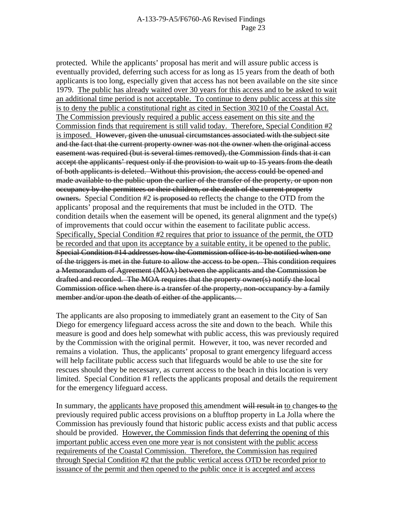protected. While the applicants' proposal has merit and will assure public access is eventually provided, deferring such access for as long as 15 years from the death of both applicants is too long, especially given that access has not been available on the site since 1979. The public has already waited over 30 years for this access and to be asked to wait an additional time period is not acceptable. To continue to deny public access at this site is to deny the public a constitutional right as cited in Section 30210 of the Coastal Act. The Commission previously required a public access easement on this site and the Commission finds that requirement is still valid today. Therefore, Special Condition #2 is imposed. However, given the unusual circumstances associated with the subject site and the fact that the current property owner was not the owner when the original access easement was required (but is several times removed), the Commission finds that it can accept the applicants' request only if the provision to wait up to 15 years from the death of both applicants is deleted. Without this provision, the access could be opened and made available to the public upon the earlier of the transfer of the property, or upon non occupancy by the permittees or their children, or the death of the current property owners. Special Condition #2 is proposed to reflects the change to the OTD from the applicants' proposal and the requirements that must be included in the OTD. The condition details when the easement will be opened, its general alignment and the type(s) of improvements that could occur within the easement to facilitate public access. Specifically, Special Condition #2 requires that prior to issuance of the permit, the OTD be recorded and that upon its acceptance by a suitable entity, it be opened to the public. Special Condition #14 addresses how the Commission office is to be notified when one of the triggers is met in the future to allow the access to be open. This condition requires a Memorandum of Agreement (MOA) between the applicants and the Commission be drafted and recorded. The MOA requires that the property owner(s) notify the local Commission office when there is a transfer of the property, non-occupancy by a family member and/or upon the death of either of the applicants.

The applicants are also proposing to immediately grant an easement to the City of San Diego for emergency lifeguard access across the site and down to the beach. While this measure is good and does help somewhat with public access, this was previously required by the Commission with the original permit. However, it too, was never recorded and remains a violation. Thus, the applicants' proposal to grant emergency lifeguard access will help facilitate public access such that lifeguards would be able to use the site for rescues should they be necessary, as current access to the beach in this location is very limited. Special Condition #1 reflects the applicants proposal and details the requirement for the emergency lifeguard access.

In summary, the applicants have proposed this amendment will result in to changes to the previously required public access provisions on a blufftop property in La Jolla where the Commission has previously found that historic public access exists and that public access should be provided. However, the Commission finds that deferring the opening of this important public access even one more year is not consistent with the public access requirements of the Coastal Commission. Therefore, the Commission has required through Special Condition #2 that the public vertical access OTD be recorded prior to issuance of the permit and then opened to the public once it is accepted and access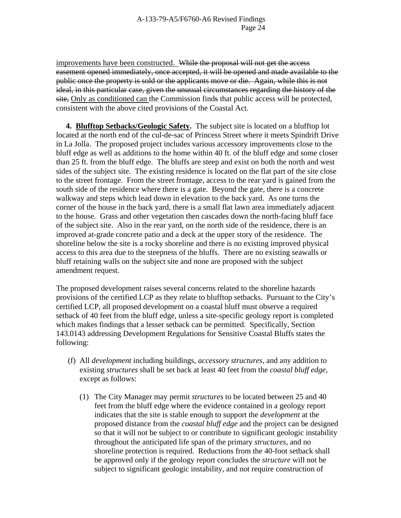improvements have been constructed. While the proposal will not get the access easement opened immediately, once accepted, it will be opened and made available to the public once the property is sold or the applicants move or die. Again, while this is not ideal, in this particular case, given the unusual circumstances regarding the history of the site, Only as conditioned can the Commission finds that public access will be protected, consistent with the above cited provisions of the Coastal Act.

 **4. Blufftop Setbacks/Geologic Safety.** The subject site is located on a blufftop lot located at the north end of the cul-de-sac of Princess Street where it meets Spindrift Drive in La Jolla. The proposed project includes various accessory improvements close to the bluff edge as well as additions to the home within 40 ft. of the bluff edge and some closer than 25 ft. from the bluff edge. The bluffs are steep and exist on both the north and west sides of the subject site. The existing residence is located on the flat part of the site close to the street frontage. From the street frontage, access to the rear yard is gained from the south side of the residence where there is a gate. Beyond the gate, there is a concrete walkway and steps which lead down in elevation to the back yard. As one turns the corner of the house in the back yard, there is a small flat lawn area immediately adjacent to the house. Grass and other vegetation then cascades down the north-facing bluff face of the subject site. Also in the rear yard, on the north side of the residence, there is an improved at-grade concrete patio and a deck at the upper story of the residence. The shoreline below the site is a rocky shoreline and there is no existing improved physical access to this area due to the steepness of the bluffs. There are no existing seawalls or bluff retaining walls on the subject site and none are proposed with the subject amendment request.

The proposed development raises several concerns related to the shoreline hazards provisions of the certified LCP as they relate to blufftop setbacks. Pursuant to the City's certified LCP, all proposed development on a coastal bluff must observe a required setback of 40 feet from the bluff edge, unless a site-specific geology report is completed which makes findings that a lesser setback can be permitted. Specifically, Section 143.0143 addressing Development Regulations for Sensitive Coastal Bluffs states the following:

- (f) All *development* including buildings, *accessory structures*, and any addition to existing *structures* shall be set back at least 40 feet from the *coastal bluff edge*, except as follows:
	- (1) The City Manager may permit *structures* to be located between 25 and 40 feet from the bluff edge where the evidence contained in a geology report indicates that the site is stable enough to support the *development* at the proposed distance from the *coastal bluff edge* and the project can be designed so that it will not be subject to or contribute to significant geologic instability throughout the anticipated life span of the primary *structures*, and no shoreline protection is required. Reductions from the 40-foot setback shall be approved only if the geology report concludes the *structure* will not be subject to significant geologic instability, and not require construction of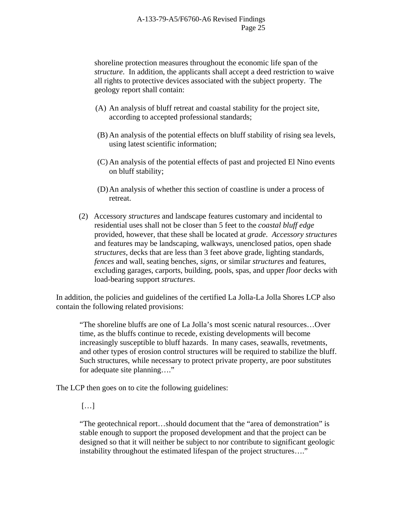shoreline protection measures throughout the economic life span of the *structure*. In addition, the applicants shall accept a deed restriction to waive all rights to protective devices associated with the subject property. The geology report shall contain:

- (A) An analysis of bluff retreat and coastal stability for the project site, according to accepted professional standards;
- (B) An analysis of the potential effects on bluff stability of rising sea levels, using latest scientific information;
- (C) An analysis of the potential effects of past and projected El Nino events on bluff stability;
- (D)An analysis of whether this section of coastline is under a process of retreat.
- (2) Accessory *structures* and landscape features customary and incidental to residential uses shall not be closer than 5 feet to the *coastal bluff edge* provided, however, that these shall be located at *grade*. *Accessory structures* and features may be landscaping, walkways, unenclosed patios, open shade *structures*, decks that are less than 3 feet above grade, lighting standards, *fences* and wall, seating benches, *signs*, or similar *structures* and features, excluding garages, carports, building, pools, spas, and upper *floor* decks with load-bearing support *structures*.

In addition, the policies and guidelines of the certified La Jolla-La Jolla Shores LCP also contain the following related provisions:

 "The shoreline bluffs are one of La Jolla's most scenic natural resources…Over time, as the bluffs continue to recede, existing developments will become increasingly susceptible to bluff hazards. In many cases, seawalls, revetments, and other types of erosion control structures will be required to stabilize the bluff. Such structures, while necessary to protect private property, are poor substitutes for adequate site planning…."

The LCP then goes on to cite the following guidelines:

[…]

"The geotechnical report…should document that the "area of demonstration" is stable enough to support the proposed development and that the project can be designed so that it will neither be subject to nor contribute to significant geologic instability throughout the estimated lifespan of the project structures…."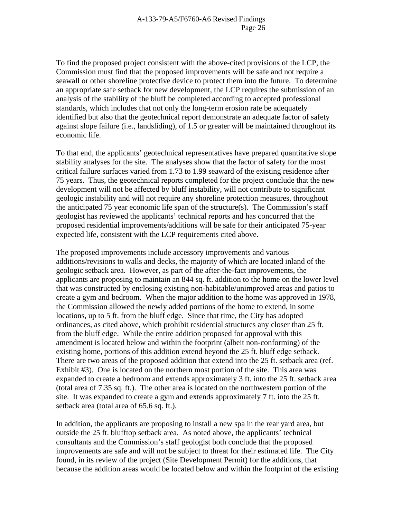To find the proposed project consistent with the above-cited provisions of the LCP, the Commission must find that the proposed improvements will be safe and not require a seawall or other shoreline protective device to protect them into the future. To determine an appropriate safe setback for new development, the LCP requires the submission of an analysis of the stability of the bluff be completed according to accepted professional standards, which includes that not only the long-term erosion rate be adequately identified but also that the geotechnical report demonstrate an adequate factor of safety against slope failure (i.e., landsliding), of 1.5 or greater will be maintained throughout its economic life.

To that end, the applicants' geotechnical representatives have prepared quantitative slope stability analyses for the site. The analyses show that the factor of safety for the most critical failure surfaces varied from 1.73 to 1.99 seaward of the existing residence after 75 years. Thus, the geotechnical reports completed for the project conclude that the new development will not be affected by bluff instability, will not contribute to significant geologic instability and will not require any shoreline protection measures, throughout the anticipated 75 year economic life span of the structure(s). The Commission's staff geologist has reviewed the applicants' technical reports and has concurred that the proposed residential improvements/additions will be safe for their anticipated 75-year expected life, consistent with the LCP requirements cited above.

The proposed improvements include accessory improvements and various additions/revisions to walls and decks, the majority of which are located inland of the geologic setback area. However, as part of the after-the-fact improvements, the applicants are proposing to maintain an 844 sq. ft. addition to the home on the lower level that was constructed by enclosing existing non-habitable/unimproved areas and patios to create a gym and bedroom. When the major addition to the home was approved in 1978, the Commission allowed the newly added portions of the home to extend, in some locations, up to 5 ft. from the bluff edge. Since that time, the City has adopted ordinances, as cited above, which prohibit residential structures any closer than 25 ft. from the bluff edge. While the entire addition proposed for approval with this amendment is located below and within the footprint (albeit non-conforming) of the existing home, portions of this addition extend beyond the 25 ft. bluff edge setback. There are two areas of the proposed addition that extend into the 25 ft. setback area (ref. Exhibit #3). One is located on the northern most portion of the site. This area was expanded to create a bedroom and extends approximately 3 ft. into the 25 ft. setback area (total area of 7.35 sq. ft.). The other area is located on the northwestern portion of the site. It was expanded to create a gym and extends approximately 7 ft. into the 25 ft. setback area (total area of 65.6 sq. ft.).

In addition, the applicants are proposing to install a new spa in the rear yard area, but outside the 25 ft. blufftop setback area. As noted above, the applicants' technical consultants and the Commission's staff geologist both conclude that the proposed improvements are safe and will not be subject to threat for their estimated life. The City found, in its review of the project (Site Development Permit) for the additions, that because the addition areas would be located below and within the footprint of the existing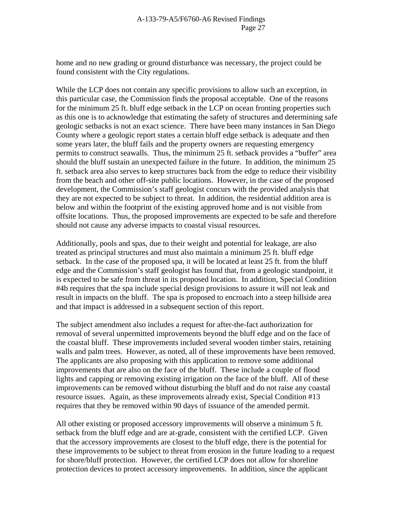home and no new grading or ground disturbance was necessary, the project could be found consistent with the City regulations.

While the LCP does not contain any specific provisions to allow such an exception, in this particular case, the Commission finds the proposal acceptable. One of the reasons for the minimum 25 ft. bluff edge setback in the LCP on ocean fronting properties such as this one is to acknowledge that estimating the safety of structures and determining safe geologic setbacks is not an exact science. There have been many instances in San Diego County where a geologic report states a certain bluff edge setback is adequate and then some years later, the bluff fails and the property owners are requesting emergency permits to construct seawalls. Thus, the minimum 25 ft. setback provides a "buffer" area should the bluff sustain an unexpected failure in the future. In addition, the minimum 25 ft. setback area also serves to keep structures back from the edge to reduce their visibility from the beach and other off-site public locations. However, in the case of the proposed development, the Commission's staff geologist concurs with the provided analysis that they are not expected to be subject to threat. In addition, the residential addition area is below and within the footprint of the existing approved home and is not visible from offsite locations. Thus, the proposed improvements are expected to be safe and therefore should not cause any adverse impacts to coastal visual resources.

Additionally, pools and spas, due to their weight and potential for leakage, are also treated as principal structures and must also maintain a minimum 25 ft. bluff edge setback. In the case of the proposed spa, it will be located at least 25 ft. from the bluff edge and the Commission's staff geologist has found that, from a geologic standpoint, it is expected to be safe from threat in its proposed location. In addition, Special Condition #4b requires that the spa include special design provisions to assure it will not leak and result in impacts on the bluff. The spa is proposed to encroach into a steep hillside area and that impact is addressed in a subsequent section of this report.

The subject amendment also includes a request for after-the-fact authorization for removal of several unpermitted improvements beyond the bluff edge and on the face of the coastal bluff. These improvements included several wooden timber stairs, retaining walls and palm trees. However, as noted, all of these improvements have been removed. The applicants are also proposing with this application to remove some additional improvements that are also on the face of the bluff. These include a couple of flood lights and capping or removing existing irrigation on the face of the bluff. All of these improvements can be removed without disturbing the bluff and do not raise any coastal resource issues. Again, as these improvements already exist, Special Condition #13 requires that they be removed within 90 days of issuance of the amended permit.

All other existing or proposed accessory improvements will observe a minimum 5 ft. setback from the bluff edge and are at-grade, consistent with the certified LCP. Given that the accessory improvements are closest to the bluff edge, there is the potential for these improvements to be subject to threat from erosion in the future leading to a request for shore/bluff protection. However, the certified LCP does not allow for shoreline protection devices to protect accessory improvements. In addition, since the applicant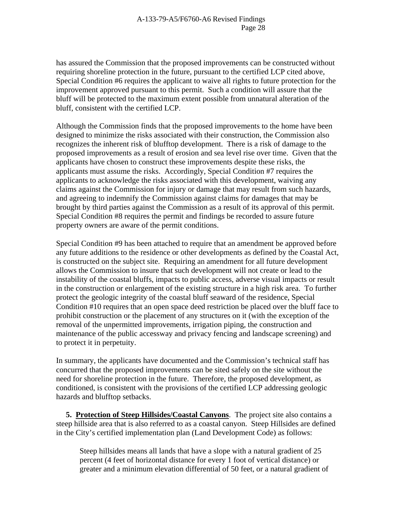has assured the Commission that the proposed improvements can be constructed without requiring shoreline protection in the future, pursuant to the certified LCP cited above, Special Condition #6 requires the applicant to waive all rights to future protection for the improvement approved pursuant to this permit. Such a condition will assure that the bluff will be protected to the maximum extent possible from unnatural alteration of the bluff, consistent with the certified LCP.

Although the Commission finds that the proposed improvements to the home have been designed to minimize the risks associated with their construction, the Commission also recognizes the inherent risk of blufftop development. There is a risk of damage to the proposed improvements as a result of erosion and sea level rise over time. Given that the applicants have chosen to construct these improvements despite these risks, the applicants must assume the risks. Accordingly, Special Condition #7 requires the applicants to acknowledge the risks associated with this development, waiving any claims against the Commission for injury or damage that may result from such hazards, and agreeing to indemnify the Commission against claims for damages that may be brought by third parties against the Commission as a result of its approval of this permit. Special Condition #8 requires the permit and findings be recorded to assure future property owners are aware of the permit conditions.

Special Condition #9 has been attached to require that an amendment be approved before any future additions to the residence or other developments as defined by the Coastal Act, is constructed on the subject site. Requiring an amendment for all future development allows the Commission to insure that such development will not create or lead to the instability of the coastal bluffs, impacts to public access, adverse visual impacts or result in the construction or enlargement of the existing structure in a high risk area. To further protect the geologic integrity of the coastal bluff seaward of the residence, Special Condition #10 requires that an open space deed restriction be placed over the bluff face to prohibit construction or the placement of any structures on it (with the exception of the removal of the unpermitted improvements, irrigation piping, the construction and maintenance of the public accessway and privacy fencing and landscape screening) and to protect it in perpetuity.

In summary, the applicants have documented and the Commission's technical staff has concurred that the proposed improvements can be sited safely on the site without the need for shoreline protection in the future. Therefore, the proposed development, as conditioned, is consistent with the provisions of the certified LCP addressing geologic hazards and blufftop setbacks.

 **5. Protection of Steep Hillsides/Coastal Canyons**. The project site also contains a steep hillside area that is also referred to as a coastal canyon. Steep Hillsides are defined in the City's certified implementation plan (Land Development Code) as follows:

Steep hillsides means all lands that have a slope with a natural gradient of 25 percent (4 feet of horizontal distance for every 1 foot of vertical distance) or greater and a minimum elevation differential of 50 feet, or a natural gradient of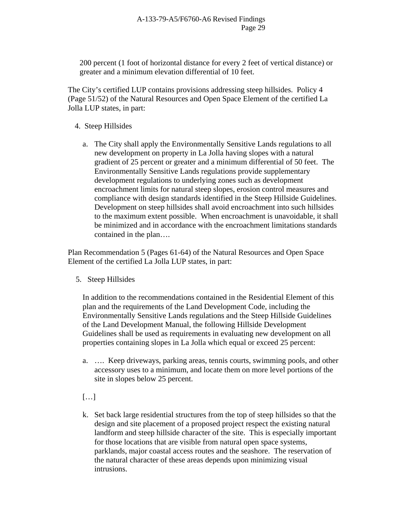200 percent (1 foot of horizontal distance for every 2 feet of vertical distance) or greater and a minimum elevation differential of 10 feet.

The City's certified LUP contains provisions addressing steep hillsides. Policy 4 (Page 51/52) of the Natural Resources and Open Space Element of the certified La Jolla LUP states, in part:

## 4. Steep Hillsides

a. The City shall apply the Environmentally Sensitive Lands regulations to all new development on property in La Jolla having slopes with a natural gradient of 25 percent or greater and a minimum differential of 50 feet. The Environmentally Sensitive Lands regulations provide supplementary development regulations to underlying zones such as development encroachment limits for natural steep slopes, erosion control measures and compliance with design standards identified in the Steep Hillside Guidelines. Development on steep hillsides shall avoid encroachment into such hillsides to the maximum extent possible. When encroachment is unavoidable, it shall be minimized and in accordance with the encroachment limitations standards contained in the plan….

Plan Recommendation 5 (Pages 61-64) of the Natural Resources and Open Space Element of the certified La Jolla LUP states, in part:

5. Steep Hillsides

In addition to the recommendations contained in the Residential Element of this plan and the requirements of the Land Development Code, including the Environmentally Sensitive Lands regulations and the Steep Hillside Guidelines of the Land Development Manual, the following Hillside Development Guidelines shall be used as requirements in evaluating new development on all properties containing slopes in La Jolla which equal or exceed 25 percent:

- a. …. Keep driveways, parking areas, tennis courts, swimming pools, and other accessory uses to a minimum, and locate them on more level portions of the site in slopes below 25 percent.
- […]
- k. Set back large residential structures from the top of steep hillsides so that the design and site placement of a proposed project respect the existing natural landform and steep hillside character of the site. This is especially important for those locations that are visible from natural open space systems, parklands, major coastal access routes and the seashore. The reservation of the natural character of these areas depends upon minimizing visual intrusions.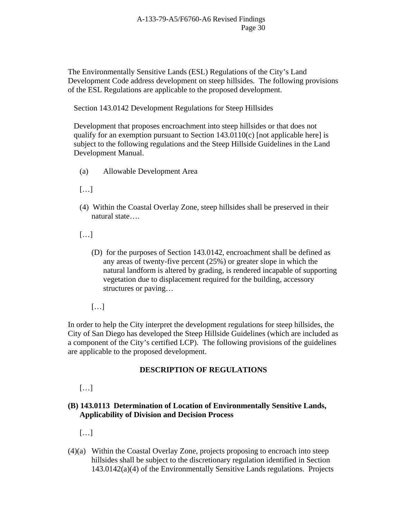The Environmentally Sensitive Lands (ESL) Regulations of the City's Land Development Code address development on steep hillsides. The following provisions of the ESL Regulations are applicable to the proposed development.

Section 143.0142 Development Regulations for Steep Hillsides

Development that proposes encroachment into steep hillsides or that does not qualify for an exemption pursuant to Section  $143.0110(c)$  [not applicable here] is subject to the following regulations and the Steep Hillside Guidelines in the Land Development Manual.

(a) Allowable Development Area

[…]

- (4) Within the Coastal Overlay Zone, steep hillsides shall be preserved in their natural state….
- $[...]$ 
	- (D) for the purposes of Section 143.0142, encroachment shall be defined as any areas of twenty-five percent (25%) or greater slope in which the natural landform is altered by grading, is rendered incapable of supporting vegetation due to displacement required for the building, accessory structures or paving…
	- […]

In order to help the City interpret the development regulations for steep hillsides, the City of San Diego has developed the Steep Hillside Guidelines (which are included as a component of the City's certified LCP). The following provisions of the guidelines are applicable to the proposed development.

## **DESCRIPTION OF REGULATIONS**

[…]

## **(B) 143.0113 Determination of Location of Environmentally Sensitive Lands, Applicability of Division and Decision Process**

[…]

(4)(a) Within the Coastal Overlay Zone, projects proposing to encroach into steep hillsides shall be subject to the discretionary regulation identified in Section 143.0142(a)(4) of the Environmentally Sensitive Lands regulations. Projects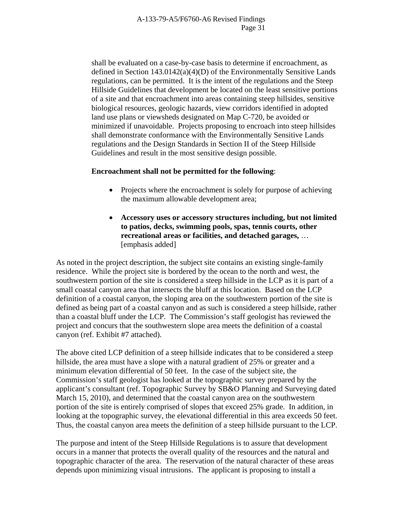shall be evaluated on a case-by-case basis to determine if encroachment, as defined in Section 143.0142(a)(4)(D) of the Environmentally Sensitive Lands regulations, can be permitted. It is the intent of the regulations and the Steep Hillside Guidelines that development be located on the least sensitive portions of a site and that encroachment into areas containing steep hillsides, sensitive biological resources, geologic hazards, view corridors identified in adopted land use plans or viewsheds designated on Map C-720, be avoided or minimized if unavoidable. Projects proposing to encroach into steep hillsides shall demonstrate conformance with the Environmentally Sensitive Lands regulations and the Design Standards in Section II of the Steep Hillside Guidelines and result in the most sensitive design possible.

## **Encroachment shall not be permitted for the following**:

- Projects where the encroachment is solely for purpose of achieving the maximum allowable development area;
- **Accessory uses or accessory structures including, but not limited to patios, decks, swimming pools, spas, tennis courts, other recreational areas or facilities, and detached garages,** … [emphasis added]

As noted in the project description, the subject site contains an existing single-family residence. While the project site is bordered by the ocean to the north and west, the southwestern portion of the site is considered a steep hillside in the LCP as it is part of a small coastal canyon area that intersects the bluff at this location. Based on the LCP definition of a coastal canyon, the sloping area on the southwestern portion of the site is defined as being part of a coastal canyon and as such is considered a steep hillside, rather than a coastal bluff under the LCP. The Commission's staff geologist has reviewed the project and concurs that the southwestern slope area meets the definition of a coastal canyon (ref. Exhibit #7 attached).

The above cited LCP definition of a steep hillside indicates that to be considered a steep hillside, the area must have a slope with a natural gradient of 25% or greater and a minimum elevation differential of 50 feet. In the case of the subject site, the Commission's staff geologist has looked at the topographic survey prepared by the applicant's consultant (ref. Topographic Survey by SB&O Planning and Surveying dated March 15, 2010), and determined that the coastal canyon area on the southwestern portion of the site is entirely comprised of slopes that exceed 25% grade. In addition, in looking at the topographic survey, the elevational differential in this area exceeds 50 feet. Thus, the coastal canyon area meets the definition of a steep hillside pursuant to the LCP.

The purpose and intent of the Steep Hillside Regulations is to assure that development occurs in a manner that protects the overall quality of the resources and the natural and topographic character of the area. The reservation of the natural character of these areas depends upon minimizing visual intrusions. The applicant is proposing to install a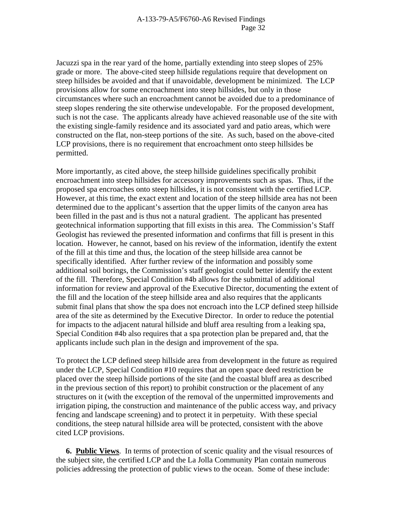Jacuzzi spa in the rear yard of the home, partially extending into steep slopes of 25% grade or more. The above-cited steep hillside regulations require that development on steep hillsides be avoided and that if unavoidable, development be minimized. The LCP provisions allow for some encroachment into steep hillsides, but only in those circumstances where such an encroachment cannot be avoided due to a predominance of steep slopes rendering the site otherwise undevelopable. For the proposed development, such is not the case. The applicants already have achieved reasonable use of the site with the existing single-family residence and its associated yard and patio areas, which were constructed on the flat, non-steep portions of the site. As such, based on the above-cited LCP provisions, there is no requirement that encroachment onto steep hillsides be permitted.

More importantly, as cited above, the steep hillside guidelines specifically prohibit encroachment into steep hillsides for accessory improvements such as spas. Thus, if the proposed spa encroaches onto steep hillsides, it is not consistent with the certified LCP. However, at this time, the exact extent and location of the steep hillside area has not been determined due to the applicant's assertion that the upper limits of the canyon area has been filled in the past and is thus not a natural gradient. The applicant has presented geotechnical information supporting that fill exists in this area. The Commission's Staff Geologist has reviewed the presented information and confirms that fill is present in this location. However, he cannot, based on his review of the information, identify the extent of the fill at this time and thus, the location of the steep hillside area cannot be specifically identified. After further review of the information and possibly some additional soil borings, the Commission's staff geologist could better identify the extent of the fill. Therefore, Special Condition #4b allows for the submittal of additional information for review and approval of the Executive Director, documenting the extent of the fill and the location of the steep hillside area and also requires that the applicants submit final plans that show the spa does not encroach into the LCP defined steep hillside area of the site as determined by the Executive Director. In order to reduce the potential for impacts to the adjacent natural hillside and bluff area resulting from a leaking spa, Special Condition #4b also requires that a spa protection plan be prepared and, that the applicants include such plan in the design and improvement of the spa.

To protect the LCP defined steep hillside area from development in the future as required under the LCP, Special Condition #10 requires that an open space deed restriction be placed over the steep hillside portions of the site (and the coastal bluff area as described in the previous section of this report) to prohibit construction or the placement of any structures on it (with the exception of the removal of the unpermitted improvements and irrigation piping, the construction and maintenance of the public access way, and privacy fencing and landscape screening) and to protect it in perpetuity. With these special conditions, the steep natural hillside area will be protected, consistent with the above cited LCP provisions.

 **6. Public Views**. In terms of protection of scenic quality and the visual resources of the subject site, the certified LCP and the La Jolla Community Plan contain numerous policies addressing the protection of public views to the ocean. Some of these include: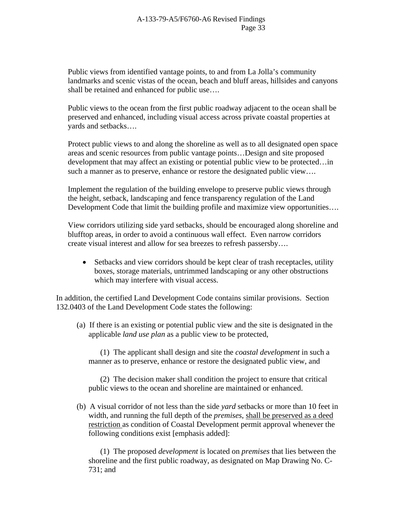Public views from identified vantage points, to and from La Jolla's community landmarks and scenic vistas of the ocean, beach and bluff areas, hillsides and canyons shall be retained and enhanced for public use….

Public views to the ocean from the first public roadway adjacent to the ocean shall be preserved and enhanced, including visual access across private coastal properties at yards and setbacks….

Protect public views to and along the shoreline as well as to all designated open space areas and scenic resources from public vantage points…Design and site proposed development that may affect an existing or potential public view to be protected…in such a manner as to preserve, enhance or restore the designated public view....

Implement the regulation of the building envelope to preserve public views through the height, setback, landscaping and fence transparency regulation of the Land Development Code that limit the building profile and maximize view opportunities….

 View corridors utilizing side yard setbacks, should be encouraged along shoreline and blufftop areas, in order to avoid a continuous wall effect. Even narrow corridors create visual interest and allow for sea breezes to refresh passersby….

 Setbacks and view corridors should be kept clear of trash receptacles, utility boxes, storage materials, untrimmed landscaping or any other obstructions which may interfere with visual access.

In addition, the certified Land Development Code contains similar provisions. Section 132.0403 of the Land Development Code states the following:

(a) If there is an existing or potential public view and the site is designated in the applicable *land use plan* as a public view to be protected,

(1) The applicant shall design and site the *coastal development* in such a manner as to preserve, enhance or restore the designated public view, and

(2) The decision maker shall condition the project to ensure that critical public views to the ocean and shoreline are maintained or enhanced.

(b) A visual corridor of not less than the side *yard* setbacks or more than 10 feet in width, and running the full depth of the *premises*, shall be preserved as a deed restriction as condition of Coastal Development permit approval whenever the following conditions exist [emphasis added]:

 (1) The proposed *development* is located on *premises* that lies between the shoreline and the first public roadway, as designated on Map Drawing No. C-731; and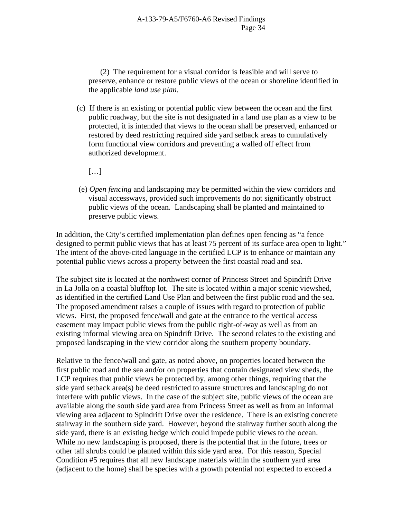(2) The requirement for a visual corridor is feasible and will serve to preserve, enhance or restore public views of the ocean or shoreline identified in the applicable *land use plan*.

(c) If there is an existing or potential public view between the ocean and the first public roadway, but the site is not designated in a land use plan as a view to be protected, it is intended that views to the ocean shall be preserved, enhanced or restored by deed restricting required side yard setback areas to cumulatively form functional view corridors and preventing a walled off effect from authorized development.

[…]

 (e) *Open fencing* and landscaping may be permitted within the view corridors and visual accessways, provided such improvements do not significantly obstruct public views of the ocean. Landscaping shall be planted and maintained to preserve public views.

In addition, the City's certified implementation plan defines open fencing as "a fence designed to permit public views that has at least 75 percent of its surface area open to light." The intent of the above-cited language in the certified LCP is to enhance or maintain any potential public views across a property between the first coastal road and sea.

The subject site is located at the northwest corner of Princess Street and Spindrift Drive in La Jolla on a coastal blufftop lot. The site is located within a major scenic viewshed, as identified in the certified Land Use Plan and between the first public road and the sea. The proposed amendment raises a couple of issues with regard to protection of public views. First, the proposed fence/wall and gate at the entrance to the vertical access easement may impact public views from the public right-of-way as well as from an existing informal viewing area on Spindrift Drive. The second relates to the existing and proposed landscaping in the view corridor along the southern property boundary.

Relative to the fence/wall and gate, as noted above, on properties located between the first public road and the sea and/or on properties that contain designated view sheds, the LCP requires that public views be protected by, among other things, requiring that the side yard setback area(s) be deed restricted to assure structures and landscaping do not interfere with public views. In the case of the subject site, public views of the ocean are available along the south side yard area from Princess Street as well as from an informal viewing area adjacent to Spindrift Drive over the residence. There is an existing concrete stairway in the southern side yard. However, beyond the stairway further south along the side yard, there is an existing hedge which could impede public views to the ocean. While no new landscaping is proposed, there is the potential that in the future, trees or other tall shrubs could be planted within this side yard area. For this reason, Special Condition #5 requires that all new landscape materials within the southern yard area (adjacent to the home) shall be species with a growth potential not expected to exceed a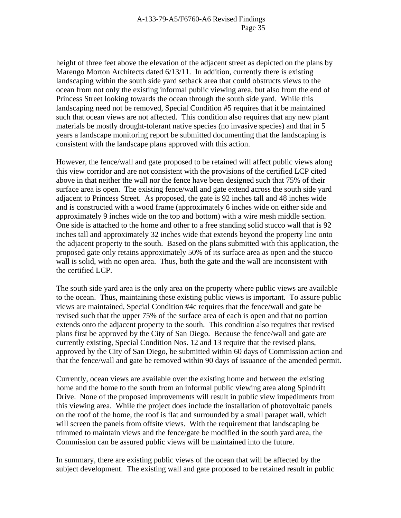height of three feet above the elevation of the adjacent street as depicted on the plans by Marengo Morton Architects dated 6/13/11. In addition, currently there is existing landscaping within the south side yard setback area that could obstructs views to the ocean from not only the existing informal public viewing area, but also from the end of Princess Street looking towards the ocean through the south side yard. While this landscaping need not be removed, Special Condition #5 requires that it be maintained such that ocean views are not affected. This condition also requires that any new plant materials be mostly drought-tolerant native species (no invasive species) and that in 5 years a landscape monitoring report be submitted documenting that the landscaping is consistent with the landscape plans approved with this action.

However, the fence/wall and gate proposed to be retained will affect public views along this view corridor and are not consistent with the provisions of the certified LCP cited above in that neither the wall nor the fence have been designed such that 75% of their surface area is open. The existing fence/wall and gate extend across the south side yard adjacent to Princess Street. As proposed, the gate is 92 inches tall and 48 inches wide and is constructed with a wood frame (approximately 6 inches wide on either side and approximately 9 inches wide on the top and bottom) with a wire mesh middle section. One side is attached to the home and other to a free standing solid stucco wall that is 92 inches tall and approximately 32 inches wide that extends beyond the property line onto the adjacent property to the south. Based on the plans submitted with this application, the proposed gate only retains approximately 50% of its surface area as open and the stucco wall is solid, with no open area. Thus, both the gate and the wall are inconsistent with the certified LCP.

The south side yard area is the only area on the property where public views are available to the ocean. Thus, maintaining these existing public views is important. To assure public views are maintained, Special Condition #4c requires that the fence/wall and gate be revised such that the upper 75% of the surface area of each is open and that no portion extends onto the adjacent property to the south. This condition also requires that revised plans first be approved by the City of San Diego. Because the fence/wall and gate are currently existing, Special Condition Nos. 12 and 13 require that the revised plans, approved by the City of San Diego, be submitted within 60 days of Commission action and that the fence/wall and gate be removed within 90 days of issuance of the amended permit.

Currently, ocean views are available over the existing home and between the existing home and the home to the south from an informal public viewing area along Spindrift Drive. None of the proposed improvements will result in public view impediments from this viewing area. While the project does include the installation of photovoltaic panels on the roof of the home, the roof is flat and surrounded by a small parapet wall, which will screen the panels from offsite views. With the requirement that landscaping be trimmed to maintain views and the fence/gate be modified in the south yard area, the Commission can be assured public views will be maintained into the future.

In summary, there are existing public views of the ocean that will be affected by the subject development. The existing wall and gate proposed to be retained result in public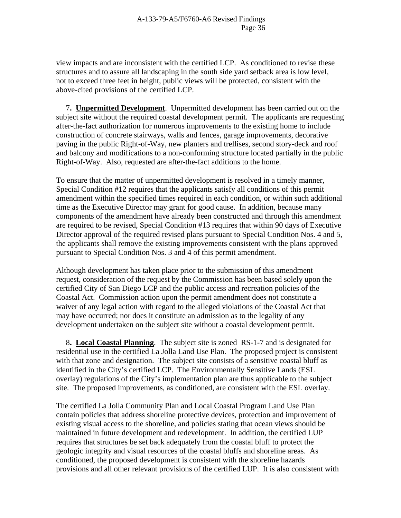view impacts and are inconsistent with the certified LCP. As conditioned to revise these structures and to assure all landscaping in the south side yard setback area is low level, not to exceed three feet in height, public views will be protected, consistent with the above-cited provisions of the certified LCP.

 7**. Unpermitted Development**. Unpermitted development has been carried out on the subject site without the required coastal development permit. The applicants are requesting after-the-fact authorization for numerous improvements to the existing home to include construction of concrete stairways, walls and fences, garage improvements, decorative paving in the public Right-of-Way, new planters and trellises, second story-deck and roof and balcony and modifications to a non-conforming structure located partially in the public Right-of-Way. Also, requested are after-the-fact additions to the home.

To ensure that the matter of unpermitted development is resolved in a timely manner, Special Condition #12 requires that the applicants satisfy all conditions of this permit amendment within the specified times required in each condition, or within such additional time as the Executive Director may grant for good cause. In addition, because many components of the amendment have already been constructed and through this amendment are required to be revised, Special Condition #13 requires that within 90 days of Executive Director approval of the required revised plans pursuant to Special Condition Nos. 4 and 5, the applicants shall remove the existing improvements consistent with the plans approved pursuant to Special Condition Nos. 3 and 4 of this permit amendment.

Although development has taken place prior to the submission of this amendment request, consideration of the request by the Commission has been based solely upon the certified City of San Diego LCP and the public access and recreation policies of the Coastal Act. Commission action upon the permit amendment does not constitute a waiver of any legal action with regard to the alleged violations of the Coastal Act that may have occurred; nor does it constitute an admission as to the legality of any development undertaken on the subject site without a coastal development permit.

 8**. Local Coastal Planning**. The subject site is zoned RS-1-7 and is designated for residential use in the certified La Jolla Land Use Plan. The proposed project is consistent with that zone and designation. The subject site consists of a sensitive coastal bluff as identified in the City's certified LCP. The Environmentally Sensitive Lands (ESL overlay) regulations of the City's implementation plan are thus applicable to the subject site. The proposed improvements, as conditioned, are consistent with the ESL overlay.

The certified La Jolla Community Plan and Local Coastal Program Land Use Plan contain policies that address shoreline protective devices, protection and improvement of existing visual access to the shoreline, and policies stating that ocean views should be maintained in future development and redevelopment. In addition, the certified LUP requires that structures be set back adequately from the coastal bluff to protect the geologic integrity and visual resources of the coastal bluffs and shoreline areas. As conditioned, the proposed development is consistent with the shoreline hazards provisions and all other relevant provisions of the certified LUP. It is also consistent with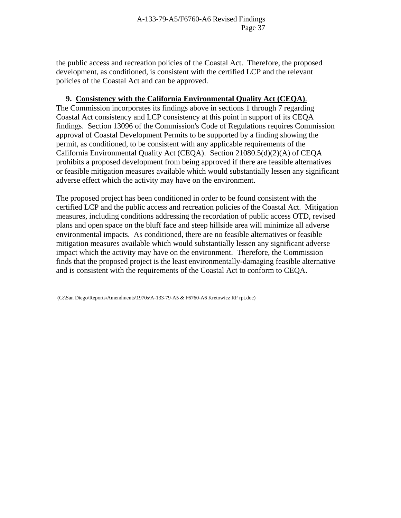the public access and recreation policies of the Coastal Act. Therefore, the proposed development, as conditioned, is consistent with the certified LCP and the relevant policies of the Coastal Act and can be approved.

#### **9. Consistency with the California Environmental Quality Act (CEQA)**.

The Commission incorporates its findings above in sections 1 through 7 regarding Coastal Act consistency and LCP consistency at this point in support of its CEQA findings. Section 13096 of the Commission's Code of Regulations requires Commission approval of Coastal Development Permits to be supported by a finding showing the permit, as conditioned, to be consistent with any applicable requirements of the California Environmental Quality Act (CEQA). Section 21080.5(d)(2)(A) of CEQA prohibits a proposed development from being approved if there are feasible alternatives or feasible mitigation measures available which would substantially lessen any significant adverse effect which the activity may have on the environment.

The proposed project has been conditioned in order to be found consistent with the certified LCP and the public access and recreation policies of the Coastal Act. Mitigation measures, including conditions addressing the recordation of public access OTD, revised plans and open space on the bluff face and steep hillside area will minimize all adverse environmental impacts. As conditioned, there are no feasible alternatives or feasible mitigation measures available which would substantially lessen any significant adverse impact which the activity may have on the environment. Therefore, the Commission finds that the proposed project is the least environmentally-damaging feasible alternative and is consistent with the requirements of the Coastal Act to conform to CEQA.

(G:\San Diego\Reports\Amendments\1970s\A-133-79-A5 & F6760-A6 Kretowicz RF rpt.doc)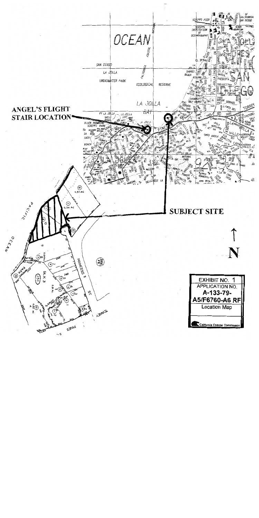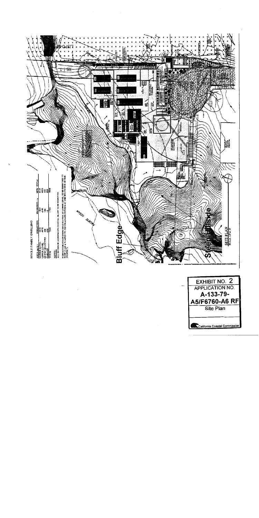

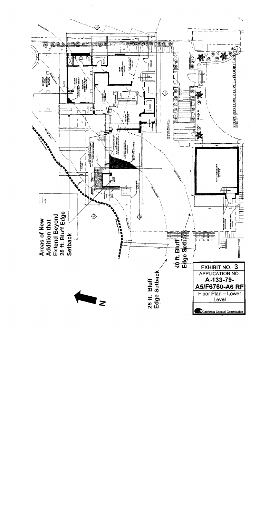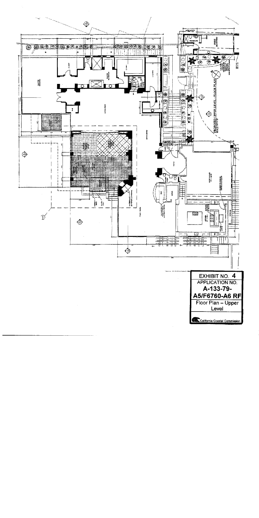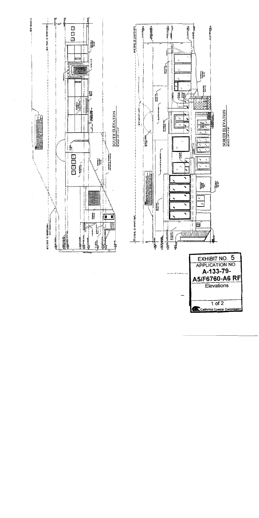

A5/F6760-A6 RF Elevations

 $1$  of  $2$ California Coastal Commission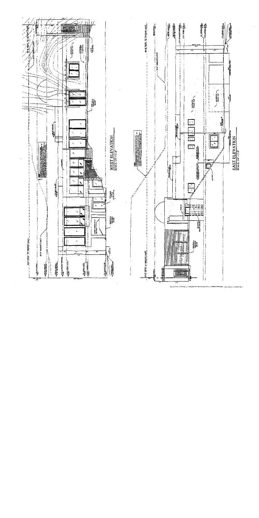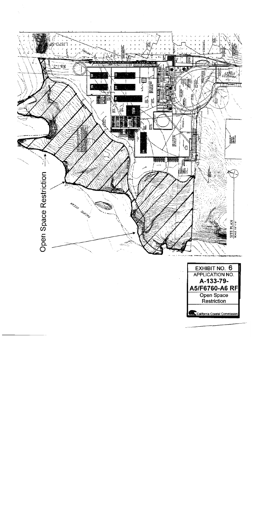